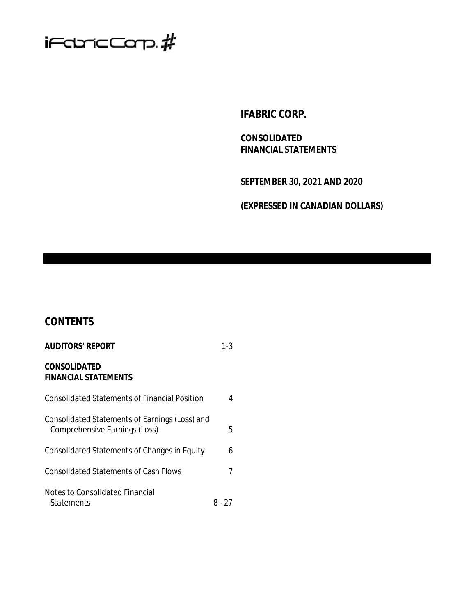

**IFABRIC CORP.**

**CONSOLIDATED FINANCIAL STATEMENTS**

**SEPTEMBER 30, 2021 AND 2020**

**(EXPRESSED IN CANADIAN DOLLARS)**

# **CONTENTS**

| <b>AUDITORS' REPORT</b>                                                         | 1-3    |
|---------------------------------------------------------------------------------|--------|
| CONSOLIDATED<br><b>FINANCIAL STATEMENTS</b>                                     |        |
| <b>Consolidated Statements of Financial Position</b>                            | 4      |
| Consolidated Statements of Earnings (Loss) and<br>Comprehensive Earnings (Loss) | 5      |
| Consolidated Statements of Changes in Equity                                    | 6      |
| Consolidated Statements of Cash Flows                                           |        |
| Notes to Consolidated Financial<br>Statements                                   | 8 - 27 |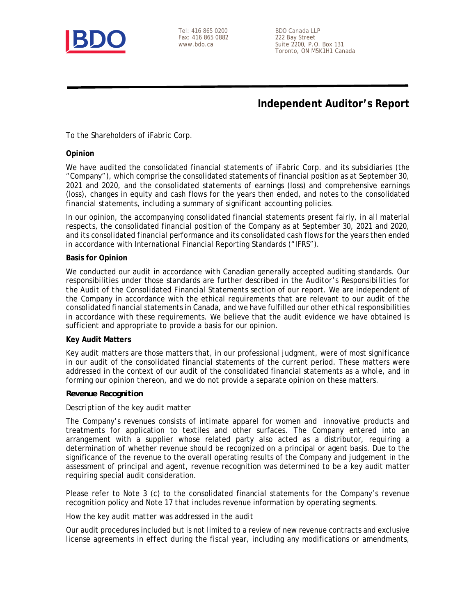

Tel: 416 865 0200 BDO Canada LLP<br>Fax: 416 865 0882 222 Bay Street Fax: 416 865 0882

www.bdo.ca Suite 2200, P.O. Box 131 Toronto, ON M5K1H1 Canada

**Independent Auditor's Report**

To the Shareholders of iFabric Corp.

#### **Opinion**

We have audited the consolidated financial statements of iFabric Corp. and its subsidiaries (the "Company"), which comprise the consolidated statements of financial position as at September 30, 2021 and 2020, and the consolidated statements of earnings (loss) and comprehensive earnings (loss), changes in equity and cash flows for the years then ended, and notes to the consolidated financial statements, including a summary of significant accounting policies.

In our opinion, the accompanying consolidated financial statements present fairly, in all material respects, the consolidated financial position of the Company as at September 30, 2021 and 2020, and its consolidated financial performance and its consolidated cash flows for the years then ended in accordance with International Financial Reporting Standards ("IFRS").

#### **Basis for Opinion**

We conducted our audit in accordance with Canadian generally accepted auditing standards. Our responsibilities under those standards are further described in the *Auditor's Responsibilities for the Audit of the Consolidated Financial Statements* section of our report. We are independent of the Company in accordance with the ethical requirements that are relevant to our audit of the consolidated financial statements in Canada, and we have fulfilled our other ethical responsibilities in accordance with these requirements. We believe that the audit evidence we have obtained is sufficient and appropriate to provide a basis for our opinion.

### **Key Audit Matters**

Key audit matters are those matters that, in our professional judgment, were of most significance in our audit of the consolidated financial statements of the current period. These matters were addressed in the context of our audit of the consolidated financial statements as a whole, and in forming our opinion thereon, and we do not provide a separate opinion on these matters.

### *Revenue Recognition*

### *Description of the key audit matter*

The Company's revenues consists of intimate apparel for women and innovative products and treatments for application to textiles and other surfaces. The Company entered into an arrangement with a supplier whose related party also acted as a distributor, requiring a determination of whether revenue should be recognized on a principal or agent basis. Due to the significance of the revenue to the overall operating results of the Company and judgement in the assessment of principal and agent, revenue recognition was determined to be a key audit matter requiring special audit consideration.

Please refer to Note 3 (c) to the consolidated financial statements for the Company's revenue recognition policy and Note 17 that includes revenue information by operating segments.

#### *How the key audit matter was addressed in the audit*

Our audit procedures included but is not limited to a review of new revenue contracts and exclusive license agreements in effect during the fiscal year, including any modifications or amendments,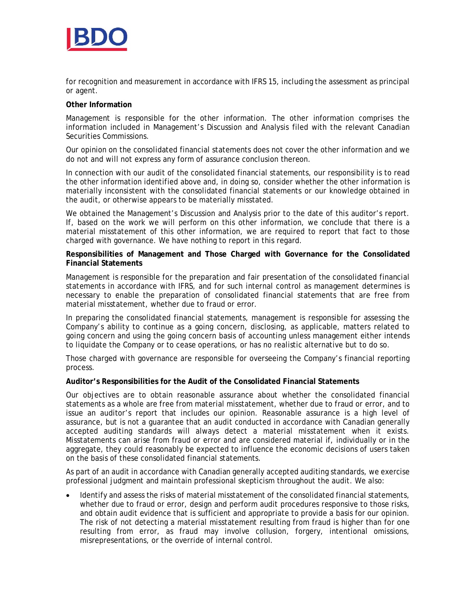

for recognition and measurement in accordance with IFRS 15, including the assessment as principal or agent.

#### **Other Information**

Management is responsible for the other information. The other information comprises the information included in Management's Discussion and Analysis filed with the relevant Canadian Securities Commissions.

Our opinion on the consolidated financial statements does not cover the other information and we do not and will not express any form of assurance conclusion thereon.

In connection with our audit of the consolidated financial statements, our responsibility is to read the other information identified above and, in doing so, consider whether the other information is materially inconsistent with the consolidated financial statements or our knowledge obtained in the audit, or otherwise appears to be materially misstated.

We obtained the Management's Discussion and Analysis prior to the date of this auditor's report. If, based on the work we will perform on this other information, we conclude that there is a material misstatement of this other information, we are required to report that fact to those charged with governance. We have nothing to report in this regard.

**Responsibilities of Management and Those Charged with Governance for the Consolidated Financial Statements**

Management is responsible for the preparation and fair presentation of the consolidated financial statements in accordance with IFRS, and for such internal control as management determines is necessary to enable the preparation of consolidated financial statements that are free from material misstatement, whether due to fraud or error.

In preparing the consolidated financial statements, management is responsible for assessing the Company's ability to continue as a going concern, disclosing, as applicable, matters related to going concern and using the going concern basis of accounting unless management either intends to liquidate the Company or to cease operations, or has no realistic alternative but to do so.

Those charged with governance are responsible for overseeing the Company's financial reporting process.

**Auditor's Responsibilities for the Audit of the Consolidated Financial Statements**

Our objectives are to obtain reasonable assurance about whether the consolidated financial statements as a whole are free from material misstatement, whether due to fraud or error, and to issue an auditor's report that includes our opinion. Reasonable assurance is a high level of assurance, but is not a guarantee that an audit conducted in accordance with Canadian generally accepted auditing standards will always detect a material misstatement when it exists. Misstatements can arise from fraud or error and are considered material if, individually or in the aggregate, they could reasonably be expected to influence the economic decisions of users taken on the basis of these consolidated financial statements.

As part of an audit in accordance with Canadian generally accepted auditing standards, we exercise professional judgment and maintain professional skepticism throughout the audit. We also:

 Identify and assess the risks of material misstatement of the consolidated financial statements, whether due to fraud or error, design and perform audit procedures responsive to those risks, and obtain audit evidence that is sufficient and appropriate to provide a basis for our opinion. The risk of not detecting a material misstatement resulting from fraud is higher than for one resulting from error, as fraud may involve collusion, forgery, intentional omissions, misrepresentations, or the override of internal control.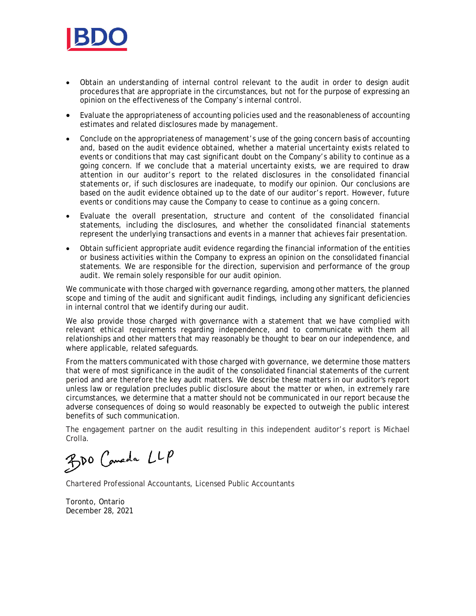

- Obtain an understanding of internal control relevant to the audit in order to design audit procedures that are appropriate in the circumstances, but not for the purpose of expressing an opinion on the effectiveness of the Company's internal control.
- Evaluate the appropriateness of accounting policies used and the reasonableness of accounting estimates and related disclosures made by management.
- Conclude on the appropriateness of management's use of the going concern basis of accounting and, based on the audit evidence obtained, whether a material uncertainty exists related to events or conditions that may cast significant doubt on the Company's ability to continue as a going concern. If we conclude that a material uncertainty exists, we are required to draw attention in our auditor's report to the related disclosures in the consolidated financial statements or, if such disclosures are inadequate, to modify our opinion. Our conclusions are based on the audit evidence obtained up to the date of our auditor's report. However, future events or conditions may cause the Company to cease to continue as a going concern.
- Evaluate the overall presentation, structure and content of the consolidated financial statements, including the disclosures, and whether the consolidated financial statements represent the underlying transactions and events in a manner that achieves fair presentation.
- Obtain sufficient appropriate audit evidence regarding the financial information of the entities or business activities within the Company to express an opinion on the consolidated financial statements. We are responsible for the direction, supervision and performance of the group audit. We remain solely responsible for our audit opinion.

We communicate with those charged with governance regarding, among other matters, the planned scope and timing of the audit and significant audit findings, including any significant deficiencies in internal control that we identify during our audit.

We also provide those charged with governance with a statement that we have complied with relevant ethical requirements regarding independence, and to communicate with them all relationships and other matters that may reasonably be thought to bear on our independence, and where applicable, related safeguards.

From the matters communicated with those charged with governance, we determine those matters that were of most significance in the audit of the consolidated financial statements of the current period and are therefore the key audit matters. We describe these matters in our auditor's report unless law or regulation precludes public disclosure about the matter or when, in extremely rare circumstances, we determine that a matter should not be communicated in our report because the adverse consequences of doing so would reasonably be expected to outweigh the public interest benefits of such communication.

The engagement partner on the audit resulting in this independent auditor's report is Michael Crolla.

BDO Comeda LLP

Chartered Professional Accountants, Licensed Public Accountants

Toronto, Ontario December 28, 2021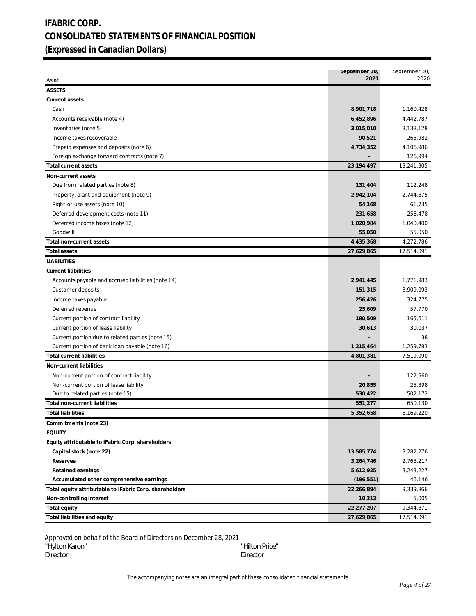# **IFABRIC CORP. CONSOLIDATED STATEMENTS OF FINANCIAL POSITION (Expressed in Canadian Dollars)**

| <b>ASSETS</b><br>Current assets<br>Cash<br>8,901,718<br>1,160,428<br>Accounts receivable (note 4)<br>6,452,896<br>4,442,787<br>3,015,010<br>3,138,128<br>Inventories (note 5)<br>265,982<br>90,521<br>Income taxes recoverable<br>Prepaid expenses and deposits (note 6)<br>4,734,352<br>4,106,986<br>Foreign exchange forward contracts (note 7)<br>126,994<br>23,194,497<br>13,241,305<br><b>Total current assets</b><br>Non-current assets<br>Due from related parties (note 8)<br>131,404<br>112,248<br>2,744,875<br>Property, plant and equipment (note 9)<br>2,942,104<br>61,735<br>Right-of-use assets (note 10)<br>54,168<br>258,478<br>Deferred development costs (note 11)<br>231,658<br>1,040,400<br>Deferred income taxes (note 12)<br>1,020,984<br>Goodwill<br>55,050<br>55,050<br>Total non-current assets<br>4,435,368<br>4,272,786<br><b>Total assets</b><br>27,629,865<br>17,514,091<br><b>LIABILITIES</b><br><b>Current liabilities</b><br>Accounts payable and accrued liabilities (note 14)<br>2,941,445<br>1,771,983<br>3,909,093<br>Customer deposits<br>151,315<br>324,775<br>Income taxes payable<br>256,426<br>57,770<br>Deferred revenue<br>25,609<br>165,611<br>Current portion of contract liability<br>180,509<br>30,037<br>Current portion of lease liability<br>30,613<br>Current portion due to related parties (note 15)<br>38<br>1,259,783<br>Current portion of bank loan payable (note 16)<br>1,215,464<br>7,519,090<br><b>Total current liabilities</b><br>4,801,381<br>Non-current liabilities<br>122,560<br>Non-current portion of contract liability<br>25,398<br>Non-current portion of lease liability<br>20,855<br>Due to related parties (note 15)<br>530,422<br>502,172<br>Total non-current liabilities<br>551,277<br>650,130<br>5,352,658<br>8,169,220<br>Total liabilities<br>Commitments (note 23)<br><b>EQUITY</b><br>Equity attributable to iFabric Corp. shareholders<br>Capital stock (note 22)<br>13,585,774<br>3,282,276<br>3,264,746<br>Reserves<br>2,768,217<br>5,612,925<br>3,243,227<br>Retained earnings<br>Accumulated other comprehensive earnings<br>(196, 551)<br>46,146<br>Total equity attributable to iFabric Corp. shareholders<br>22,266,894<br>9,339,866<br>Non-controlling interest<br>10,313<br>5,005<br>Total equity<br>22,277,207<br>9,344,871<br>Total liabilities and equity<br>27,629,865<br>17,514,091 | As at | September 30,<br>2021 | September 30,<br>2020 |
|--------------------------------------------------------------------------------------------------------------------------------------------------------------------------------------------------------------------------------------------------------------------------------------------------------------------------------------------------------------------------------------------------------------------------------------------------------------------------------------------------------------------------------------------------------------------------------------------------------------------------------------------------------------------------------------------------------------------------------------------------------------------------------------------------------------------------------------------------------------------------------------------------------------------------------------------------------------------------------------------------------------------------------------------------------------------------------------------------------------------------------------------------------------------------------------------------------------------------------------------------------------------------------------------------------------------------------------------------------------------------------------------------------------------------------------------------------------------------------------------------------------------------------------------------------------------------------------------------------------------------------------------------------------------------------------------------------------------------------------------------------------------------------------------------------------------------------------------------------------------------------------------------------------------------------------------------------------------------------------------------------------------------------------------------------------------------------------------------------------------------------------------------------------------------------------------------------------------------------------------------------------------------------------------------------------------------------------------------------------------------------------|-------|-----------------------|-----------------------|
|                                                                                                                                                                                                                                                                                                                                                                                                                                                                                                                                                                                                                                                                                                                                                                                                                                                                                                                                                                                                                                                                                                                                                                                                                                                                                                                                                                                                                                                                                                                                                                                                                                                                                                                                                                                                                                                                                                                                                                                                                                                                                                                                                                                                                                                                                                                                                                                      |       |                       |                       |
|                                                                                                                                                                                                                                                                                                                                                                                                                                                                                                                                                                                                                                                                                                                                                                                                                                                                                                                                                                                                                                                                                                                                                                                                                                                                                                                                                                                                                                                                                                                                                                                                                                                                                                                                                                                                                                                                                                                                                                                                                                                                                                                                                                                                                                                                                                                                                                                      |       |                       |                       |
|                                                                                                                                                                                                                                                                                                                                                                                                                                                                                                                                                                                                                                                                                                                                                                                                                                                                                                                                                                                                                                                                                                                                                                                                                                                                                                                                                                                                                                                                                                                                                                                                                                                                                                                                                                                                                                                                                                                                                                                                                                                                                                                                                                                                                                                                                                                                                                                      |       |                       |                       |
|                                                                                                                                                                                                                                                                                                                                                                                                                                                                                                                                                                                                                                                                                                                                                                                                                                                                                                                                                                                                                                                                                                                                                                                                                                                                                                                                                                                                                                                                                                                                                                                                                                                                                                                                                                                                                                                                                                                                                                                                                                                                                                                                                                                                                                                                                                                                                                                      |       |                       |                       |
|                                                                                                                                                                                                                                                                                                                                                                                                                                                                                                                                                                                                                                                                                                                                                                                                                                                                                                                                                                                                                                                                                                                                                                                                                                                                                                                                                                                                                                                                                                                                                                                                                                                                                                                                                                                                                                                                                                                                                                                                                                                                                                                                                                                                                                                                                                                                                                                      |       |                       |                       |
|                                                                                                                                                                                                                                                                                                                                                                                                                                                                                                                                                                                                                                                                                                                                                                                                                                                                                                                                                                                                                                                                                                                                                                                                                                                                                                                                                                                                                                                                                                                                                                                                                                                                                                                                                                                                                                                                                                                                                                                                                                                                                                                                                                                                                                                                                                                                                                                      |       |                       |                       |
|                                                                                                                                                                                                                                                                                                                                                                                                                                                                                                                                                                                                                                                                                                                                                                                                                                                                                                                                                                                                                                                                                                                                                                                                                                                                                                                                                                                                                                                                                                                                                                                                                                                                                                                                                                                                                                                                                                                                                                                                                                                                                                                                                                                                                                                                                                                                                                                      |       |                       |                       |
|                                                                                                                                                                                                                                                                                                                                                                                                                                                                                                                                                                                                                                                                                                                                                                                                                                                                                                                                                                                                                                                                                                                                                                                                                                                                                                                                                                                                                                                                                                                                                                                                                                                                                                                                                                                                                                                                                                                                                                                                                                                                                                                                                                                                                                                                                                                                                                                      |       |                       |                       |
|                                                                                                                                                                                                                                                                                                                                                                                                                                                                                                                                                                                                                                                                                                                                                                                                                                                                                                                                                                                                                                                                                                                                                                                                                                                                                                                                                                                                                                                                                                                                                                                                                                                                                                                                                                                                                                                                                                                                                                                                                                                                                                                                                                                                                                                                                                                                                                                      |       |                       |                       |
|                                                                                                                                                                                                                                                                                                                                                                                                                                                                                                                                                                                                                                                                                                                                                                                                                                                                                                                                                                                                                                                                                                                                                                                                                                                                                                                                                                                                                                                                                                                                                                                                                                                                                                                                                                                                                                                                                                                                                                                                                                                                                                                                                                                                                                                                                                                                                                                      |       |                       |                       |
|                                                                                                                                                                                                                                                                                                                                                                                                                                                                                                                                                                                                                                                                                                                                                                                                                                                                                                                                                                                                                                                                                                                                                                                                                                                                                                                                                                                                                                                                                                                                                                                                                                                                                                                                                                                                                                                                                                                                                                                                                                                                                                                                                                                                                                                                                                                                                                                      |       |                       |                       |
|                                                                                                                                                                                                                                                                                                                                                                                                                                                                                                                                                                                                                                                                                                                                                                                                                                                                                                                                                                                                                                                                                                                                                                                                                                                                                                                                                                                                                                                                                                                                                                                                                                                                                                                                                                                                                                                                                                                                                                                                                                                                                                                                                                                                                                                                                                                                                                                      |       |                       |                       |
|                                                                                                                                                                                                                                                                                                                                                                                                                                                                                                                                                                                                                                                                                                                                                                                                                                                                                                                                                                                                                                                                                                                                                                                                                                                                                                                                                                                                                                                                                                                                                                                                                                                                                                                                                                                                                                                                                                                                                                                                                                                                                                                                                                                                                                                                                                                                                                                      |       |                       |                       |
|                                                                                                                                                                                                                                                                                                                                                                                                                                                                                                                                                                                                                                                                                                                                                                                                                                                                                                                                                                                                                                                                                                                                                                                                                                                                                                                                                                                                                                                                                                                                                                                                                                                                                                                                                                                                                                                                                                                                                                                                                                                                                                                                                                                                                                                                                                                                                                                      |       |                       |                       |
|                                                                                                                                                                                                                                                                                                                                                                                                                                                                                                                                                                                                                                                                                                                                                                                                                                                                                                                                                                                                                                                                                                                                                                                                                                                                                                                                                                                                                                                                                                                                                                                                                                                                                                                                                                                                                                                                                                                                                                                                                                                                                                                                                                                                                                                                                                                                                                                      |       |                       |                       |
|                                                                                                                                                                                                                                                                                                                                                                                                                                                                                                                                                                                                                                                                                                                                                                                                                                                                                                                                                                                                                                                                                                                                                                                                                                                                                                                                                                                                                                                                                                                                                                                                                                                                                                                                                                                                                                                                                                                                                                                                                                                                                                                                                                                                                                                                                                                                                                                      |       |                       |                       |
|                                                                                                                                                                                                                                                                                                                                                                                                                                                                                                                                                                                                                                                                                                                                                                                                                                                                                                                                                                                                                                                                                                                                                                                                                                                                                                                                                                                                                                                                                                                                                                                                                                                                                                                                                                                                                                                                                                                                                                                                                                                                                                                                                                                                                                                                                                                                                                                      |       |                       |                       |
|                                                                                                                                                                                                                                                                                                                                                                                                                                                                                                                                                                                                                                                                                                                                                                                                                                                                                                                                                                                                                                                                                                                                                                                                                                                                                                                                                                                                                                                                                                                                                                                                                                                                                                                                                                                                                                                                                                                                                                                                                                                                                                                                                                                                                                                                                                                                                                                      |       |                       |                       |
|                                                                                                                                                                                                                                                                                                                                                                                                                                                                                                                                                                                                                                                                                                                                                                                                                                                                                                                                                                                                                                                                                                                                                                                                                                                                                                                                                                                                                                                                                                                                                                                                                                                                                                                                                                                                                                                                                                                                                                                                                                                                                                                                                                                                                                                                                                                                                                                      |       |                       |                       |
|                                                                                                                                                                                                                                                                                                                                                                                                                                                                                                                                                                                                                                                                                                                                                                                                                                                                                                                                                                                                                                                                                                                                                                                                                                                                                                                                                                                                                                                                                                                                                                                                                                                                                                                                                                                                                                                                                                                                                                                                                                                                                                                                                                                                                                                                                                                                                                                      |       |                       |                       |
|                                                                                                                                                                                                                                                                                                                                                                                                                                                                                                                                                                                                                                                                                                                                                                                                                                                                                                                                                                                                                                                                                                                                                                                                                                                                                                                                                                                                                                                                                                                                                                                                                                                                                                                                                                                                                                                                                                                                                                                                                                                                                                                                                                                                                                                                                                                                                                                      |       |                       |                       |
|                                                                                                                                                                                                                                                                                                                                                                                                                                                                                                                                                                                                                                                                                                                                                                                                                                                                                                                                                                                                                                                                                                                                                                                                                                                                                                                                                                                                                                                                                                                                                                                                                                                                                                                                                                                                                                                                                                                                                                                                                                                                                                                                                                                                                                                                                                                                                                                      |       |                       |                       |
|                                                                                                                                                                                                                                                                                                                                                                                                                                                                                                                                                                                                                                                                                                                                                                                                                                                                                                                                                                                                                                                                                                                                                                                                                                                                                                                                                                                                                                                                                                                                                                                                                                                                                                                                                                                                                                                                                                                                                                                                                                                                                                                                                                                                                                                                                                                                                                                      |       |                       |                       |
|                                                                                                                                                                                                                                                                                                                                                                                                                                                                                                                                                                                                                                                                                                                                                                                                                                                                                                                                                                                                                                                                                                                                                                                                                                                                                                                                                                                                                                                                                                                                                                                                                                                                                                                                                                                                                                                                                                                                                                                                                                                                                                                                                                                                                                                                                                                                                                                      |       |                       |                       |
|                                                                                                                                                                                                                                                                                                                                                                                                                                                                                                                                                                                                                                                                                                                                                                                                                                                                                                                                                                                                                                                                                                                                                                                                                                                                                                                                                                                                                                                                                                                                                                                                                                                                                                                                                                                                                                                                                                                                                                                                                                                                                                                                                                                                                                                                                                                                                                                      |       |                       |                       |
|                                                                                                                                                                                                                                                                                                                                                                                                                                                                                                                                                                                                                                                                                                                                                                                                                                                                                                                                                                                                                                                                                                                                                                                                                                                                                                                                                                                                                                                                                                                                                                                                                                                                                                                                                                                                                                                                                                                                                                                                                                                                                                                                                                                                                                                                                                                                                                                      |       |                       |                       |
|                                                                                                                                                                                                                                                                                                                                                                                                                                                                                                                                                                                                                                                                                                                                                                                                                                                                                                                                                                                                                                                                                                                                                                                                                                                                                                                                                                                                                                                                                                                                                                                                                                                                                                                                                                                                                                                                                                                                                                                                                                                                                                                                                                                                                                                                                                                                                                                      |       |                       |                       |
|                                                                                                                                                                                                                                                                                                                                                                                                                                                                                                                                                                                                                                                                                                                                                                                                                                                                                                                                                                                                                                                                                                                                                                                                                                                                                                                                                                                                                                                                                                                                                                                                                                                                                                                                                                                                                                                                                                                                                                                                                                                                                                                                                                                                                                                                                                                                                                                      |       |                       |                       |
|                                                                                                                                                                                                                                                                                                                                                                                                                                                                                                                                                                                                                                                                                                                                                                                                                                                                                                                                                                                                                                                                                                                                                                                                                                                                                                                                                                                                                                                                                                                                                                                                                                                                                                                                                                                                                                                                                                                                                                                                                                                                                                                                                                                                                                                                                                                                                                                      |       |                       |                       |
|                                                                                                                                                                                                                                                                                                                                                                                                                                                                                                                                                                                                                                                                                                                                                                                                                                                                                                                                                                                                                                                                                                                                                                                                                                                                                                                                                                                                                                                                                                                                                                                                                                                                                                                                                                                                                                                                                                                                                                                                                                                                                                                                                                                                                                                                                                                                                                                      |       |                       |                       |
|                                                                                                                                                                                                                                                                                                                                                                                                                                                                                                                                                                                                                                                                                                                                                                                                                                                                                                                                                                                                                                                                                                                                                                                                                                                                                                                                                                                                                                                                                                                                                                                                                                                                                                                                                                                                                                                                                                                                                                                                                                                                                                                                                                                                                                                                                                                                                                                      |       |                       |                       |
|                                                                                                                                                                                                                                                                                                                                                                                                                                                                                                                                                                                                                                                                                                                                                                                                                                                                                                                                                                                                                                                                                                                                                                                                                                                                                                                                                                                                                                                                                                                                                                                                                                                                                                                                                                                                                                                                                                                                                                                                                                                                                                                                                                                                                                                                                                                                                                                      |       |                       |                       |
|                                                                                                                                                                                                                                                                                                                                                                                                                                                                                                                                                                                                                                                                                                                                                                                                                                                                                                                                                                                                                                                                                                                                                                                                                                                                                                                                                                                                                                                                                                                                                                                                                                                                                                                                                                                                                                                                                                                                                                                                                                                                                                                                                                                                                                                                                                                                                                                      |       |                       |                       |
|                                                                                                                                                                                                                                                                                                                                                                                                                                                                                                                                                                                                                                                                                                                                                                                                                                                                                                                                                                                                                                                                                                                                                                                                                                                                                                                                                                                                                                                                                                                                                                                                                                                                                                                                                                                                                                                                                                                                                                                                                                                                                                                                                                                                                                                                                                                                                                                      |       |                       |                       |
|                                                                                                                                                                                                                                                                                                                                                                                                                                                                                                                                                                                                                                                                                                                                                                                                                                                                                                                                                                                                                                                                                                                                                                                                                                                                                                                                                                                                                                                                                                                                                                                                                                                                                                                                                                                                                                                                                                                                                                                                                                                                                                                                                                                                                                                                                                                                                                                      |       |                       |                       |
|                                                                                                                                                                                                                                                                                                                                                                                                                                                                                                                                                                                                                                                                                                                                                                                                                                                                                                                                                                                                                                                                                                                                                                                                                                                                                                                                                                                                                                                                                                                                                                                                                                                                                                                                                                                                                                                                                                                                                                                                                                                                                                                                                                                                                                                                                                                                                                                      |       |                       |                       |
|                                                                                                                                                                                                                                                                                                                                                                                                                                                                                                                                                                                                                                                                                                                                                                                                                                                                                                                                                                                                                                                                                                                                                                                                                                                                                                                                                                                                                                                                                                                                                                                                                                                                                                                                                                                                                                                                                                                                                                                                                                                                                                                                                                                                                                                                                                                                                                                      |       |                       |                       |
|                                                                                                                                                                                                                                                                                                                                                                                                                                                                                                                                                                                                                                                                                                                                                                                                                                                                                                                                                                                                                                                                                                                                                                                                                                                                                                                                                                                                                                                                                                                                                                                                                                                                                                                                                                                                                                                                                                                                                                                                                                                                                                                                                                                                                                                                                                                                                                                      |       |                       |                       |
|                                                                                                                                                                                                                                                                                                                                                                                                                                                                                                                                                                                                                                                                                                                                                                                                                                                                                                                                                                                                                                                                                                                                                                                                                                                                                                                                                                                                                                                                                                                                                                                                                                                                                                                                                                                                                                                                                                                                                                                                                                                                                                                                                                                                                                                                                                                                                                                      |       |                       |                       |
|                                                                                                                                                                                                                                                                                                                                                                                                                                                                                                                                                                                                                                                                                                                                                                                                                                                                                                                                                                                                                                                                                                                                                                                                                                                                                                                                                                                                                                                                                                                                                                                                                                                                                                                                                                                                                                                                                                                                                                                                                                                                                                                                                                                                                                                                                                                                                                                      |       |                       |                       |
|                                                                                                                                                                                                                                                                                                                                                                                                                                                                                                                                                                                                                                                                                                                                                                                                                                                                                                                                                                                                                                                                                                                                                                                                                                                                                                                                                                                                                                                                                                                                                                                                                                                                                                                                                                                                                                                                                                                                                                                                                                                                                                                                                                                                                                                                                                                                                                                      |       |                       |                       |
|                                                                                                                                                                                                                                                                                                                                                                                                                                                                                                                                                                                                                                                                                                                                                                                                                                                                                                                                                                                                                                                                                                                                                                                                                                                                                                                                                                                                                                                                                                                                                                                                                                                                                                                                                                                                                                                                                                                                                                                                                                                                                                                                                                                                                                                                                                                                                                                      |       |                       |                       |
|                                                                                                                                                                                                                                                                                                                                                                                                                                                                                                                                                                                                                                                                                                                                                                                                                                                                                                                                                                                                                                                                                                                                                                                                                                                                                                                                                                                                                                                                                                                                                                                                                                                                                                                                                                                                                                                                                                                                                                                                                                                                                                                                                                                                                                                                                                                                                                                      |       |                       |                       |
|                                                                                                                                                                                                                                                                                                                                                                                                                                                                                                                                                                                                                                                                                                                                                                                                                                                                                                                                                                                                                                                                                                                                                                                                                                                                                                                                                                                                                                                                                                                                                                                                                                                                                                                                                                                                                                                                                                                                                                                                                                                                                                                                                                                                                                                                                                                                                                                      |       |                       |                       |
|                                                                                                                                                                                                                                                                                                                                                                                                                                                                                                                                                                                                                                                                                                                                                                                                                                                                                                                                                                                                                                                                                                                                                                                                                                                                                                                                                                                                                                                                                                                                                                                                                                                                                                                                                                                                                                                                                                                                                                                                                                                                                                                                                                                                                                                                                                                                                                                      |       |                       |                       |
|                                                                                                                                                                                                                                                                                                                                                                                                                                                                                                                                                                                                                                                                                                                                                                                                                                                                                                                                                                                                                                                                                                                                                                                                                                                                                                                                                                                                                                                                                                                                                                                                                                                                                                                                                                                                                                                                                                                                                                                                                                                                                                                                                                                                                                                                                                                                                                                      |       |                       |                       |

Approved on behalf of the Board of Directors on December 28, 2021:<br>"Hylton Karon" [Hilton Price"]

*"Hylton Karon"* "*Hilton Price"* Director Director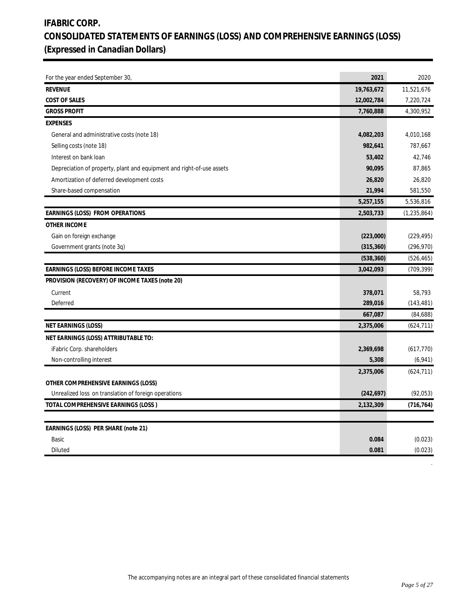# **IFABRIC CORP. CONSOLIDATED STATEMENTS OF EARNINGS (LOSS) AND COMPREHENSIVE EARNINGS (LOSS) (Expressed in Canadian Dollars)**

| For the year ended September 30,                                      | 2021       | 2020          |
|-----------------------------------------------------------------------|------------|---------------|
| <b>REVENUE</b>                                                        | 19,763,672 | 11,521,676    |
| <b>COST OF SALES</b>                                                  | 12,002,784 | 7,220,724     |
| <b>GROSS PROFIT</b>                                                   | 7,760,888  | 4,300,952     |
| <b>EXPENSES</b>                                                       |            |               |
| General and administrative costs (note 18)                            | 4,082,203  | 4,010,168     |
| Selling costs (note 18)                                               | 982,641    | 787,667       |
| Interest on bank loan                                                 | 53,402     | 42,746        |
| Depreciation of property, plant and equipment and right-of-use assets | 90,095     | 87,865        |
| Amortization of deferred development costs                            | 26,820     | 26,820        |
| Share-based compensation                                              | 21,994     | 581,550       |
|                                                                       | 5,257,155  | 5,536,816     |
| EARNINGS (LOSS) FROM OPERATIONS                                       | 2,503,733  | (1, 235, 864) |
| OTHER INCOME                                                          |            |               |
| Gain on foreign exchange                                              | (223,000)  | (229, 495)    |
| Government grants (note 3q)                                           | (315, 360) | (296, 970)    |
|                                                                       | (538, 360) | (526, 465)    |
| EARNINGS (LOSS) BEFORE INCOME TAXES                                   | 3,042,093  | (709, 399)    |
| PROVISION (RECOVERY) OF INCOME TAXES (note 20)                        |            |               |
| Current                                                               | 378,071    | 58,793        |
| Deferred                                                              | 289,016    | (143, 481)    |
|                                                                       | 667,087    | (84, 688)     |
| NET EARNINGS (LOSS)                                                   | 2,375,006  | (624, 711)    |
| NET EARNINGS (LOSS) ATTRIBUTABLE TO:                                  |            |               |
| iFabric Corp. shareholders                                            | 2,369,698  | (617, 770)    |
| Non-controlling interest                                              | 5,308      | (6,941)       |
|                                                                       | 2,375,006  | (624, 711)    |
| OTHER COMPREHENSIVE EARNINGS (LOSS)                                   |            |               |
| Unrealized loss on translation of foreign operations                  | (242, 697) | (92, 053)     |
| TOTAL COMPREHENSIVE EARNINGS (LOSS)                                   | 2,132,309  | (716, 764)    |
|                                                                       |            |               |
| EARNINGS (LOSS) PER SHARE (note 21)                                   |            |               |
| Basic                                                                 | 0.084      | (0.023)       |
| Diluted                                                               | 0.081      | (0.023)       |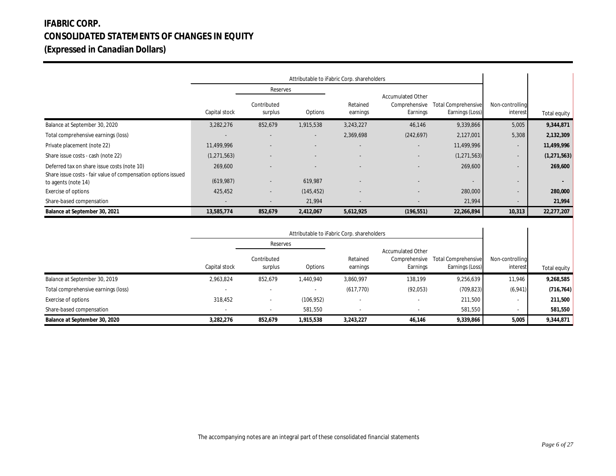# **IFABRIC CORP. CONSOLIDATED STATEMENTS OF CHANGES IN EQUITY (Expressed in Canadian Dollars)**

|                                                                                                              |                      |                        | Attributable to iFabric Corp. shareholders |                          |                                                       |                                               |                             |               |
|--------------------------------------------------------------------------------------------------------------|----------------------|------------------------|--------------------------------------------|--------------------------|-------------------------------------------------------|-----------------------------------------------|-----------------------------|---------------|
|                                                                                                              |                      | Reserves               |                                            |                          |                                                       |                                               |                             |               |
|                                                                                                              | Capital stock        | Contributed<br>surplus | Options                                    | Retained<br>earnings     | <b>Accumulated Other</b><br>Comprehensive<br>Earnings | <b>Total Comprehensive</b><br>Earnings (Loss) | Non-controlling<br>interest | Total equity  |
| Balance at September 30, 2020                                                                                | 3,282,276            | 852,679                | 1,915,538                                  | 3,243,227                | 46,146                                                | 9,339,866                                     | 5,005                       | 9,344,871     |
| Total comprehensive earnings (loss)                                                                          |                      |                        | $\sim$                                     | 2,369,698                | (242, 697)                                            | 2,127,001                                     | 5,308                       | 2,132,309     |
| Private placement (note 22)                                                                                  | 11,499,996           |                        |                                            | $\overline{\phantom{a}}$ | ۰.                                                    | 11,499,996                                    |                             | 11,499,996    |
| Share issue costs - cash (note 22)                                                                           | (1, 271, 563)        |                        |                                            | $\sim$                   |                                                       | (1, 271, 563)                                 |                             | (1, 271, 563) |
| Deferred tax on share issue costs (note 10)<br>Share issue costs - fair value of compensation options issued | 269,600<br>(619,987) |                        | 619,987                                    | $\overline{\phantom{a}}$ |                                                       | 269,600<br>$\sim$                             |                             | 269,600       |
| to agents (note 14)<br>Exercise of options                                                                   | 425,452              |                        | (145, 452)                                 | $\overline{\phantom{a}}$ |                                                       | 280,000                                       |                             | 280,000       |
| Share-based compensation                                                                                     |                      |                        | 21,994                                     |                          |                                                       | 21,994                                        |                             | 21,994        |
| Balance at September 30, 2021                                                                                | 13,585,774           | 852,679                | 2,412,067                                  | 5,612,925                | (196, 551)                                            | 22,266,894                                    | 10,313                      | 22,277,207    |

|                                     |               |                        | Attributable to iFabric Corp. shareholders |                      |                                                       |                                               |                             |              |
|-------------------------------------|---------------|------------------------|--------------------------------------------|----------------------|-------------------------------------------------------|-----------------------------------------------|-----------------------------|--------------|
|                                     |               | Reserves               |                                            |                      |                                                       |                                               |                             |              |
|                                     | Capital stock | Contributed<br>surplus | Options                                    | Retained<br>earnings | <b>Accumulated Other</b><br>Comprehensive<br>Earnings | <b>Total Comprehensive</b><br>Earnings (Loss) | Non-controlling<br>interest | Total equity |
| Balance at September 30, 2019       | 2,963,824     | 852,679                | 1.440.940                                  | 3,860,997            | 138.199                                               | 9,256,639                                     | 11,946                      | 9,268,585    |
| Total comprehensive earnings (loss) |               |                        |                                            | (617, 770)           | (92,053)                                              | (709, 823)                                    | (6,941)                     | (716, 764)   |
| Exercise of options                 | 318,452       |                        | (106, 952)                                 |                      |                                                       | 211,500                                       |                             | 211,500      |
| Share-based compensation            |               |                        | 581,550                                    |                      |                                                       | 581,550                                       |                             | 581,550      |
| Balance at September 30, 2020       | 3,282,276     | 852,679                | 1,915,538                                  | 3,243,227            | 46,146                                                | 9,339,866                                     | 5,005                       | 9,344,871    |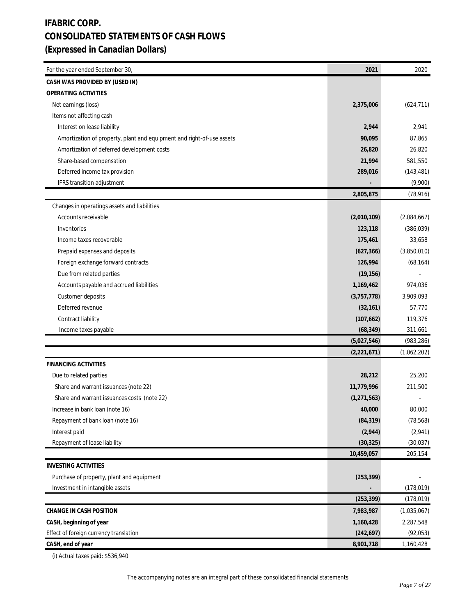# **IFABRIC CORP. CONSOLIDATED STATEMENTS OF CASH FLOWS (Expressed in Canadian Dollars)**

| For the year ended September 30,                                      | 2021          | 2020        |
|-----------------------------------------------------------------------|---------------|-------------|
| CASH WAS PROVIDED BY (USED IN)                                        |               |             |
| OPERATING ACTIVITIES                                                  |               |             |
| Net earnings (loss)                                                   | 2,375,006     | (624, 711)  |
| Items not affecting cash                                              |               |             |
| Interest on lease liability                                           | 2,944         | 2,941       |
| Amortization of property, plant and equipment and right-of-use assets | 90,095        | 87,865      |
| Amortization of deferred development costs                            | 26,820        | 26,820      |
| Share-based compensation                                              | 21,994        | 581,550     |
| Deferred income tax provision                                         | 289,016       | (143, 481)  |
| IFRS transition adjustment                                            |               | (9,900)     |
|                                                                       | 2,805,875     | (78, 916)   |
| Changes in operatings assets and liabilities                          |               |             |
| Accounts receivable                                                   | (2,010,109)   | (2,084,667) |
| Inventories                                                           | 123,118       | (386, 039)  |
| Income taxes recoverable                                              | 175,461       | 33,658      |
| Prepaid expenses and deposits                                         | (627, 366)    | (3,850,010) |
| Foreign exchange forward contracts                                    | 126,994       | (68, 164)   |
| Due from related parties                                              | (19, 156)     |             |
| Accounts payable and accrued liabilities                              | 1,169,462     | 974,036     |
| Customer deposits                                                     | (3,757,778)   | 3,909,093   |
| Deferred revenue                                                      | (32, 161)     | 57,770      |
| Contract liability                                                    | (107, 662)    | 119,376     |
| Income taxes payable                                                  | (68, 349)     | 311,661     |
|                                                                       | (5,027,546)   | (983, 286)  |
|                                                                       | (2,221,671)   | (1,062,202) |
| <b>FINANCING ACTIVITIES</b>                                           |               |             |
| Due to related parties                                                | 28,212        | 25,200      |
| Share and warrant issuances (note 22)                                 | 11,779,996    | 211,500     |
| Share and warrant issuances costs (note 22)                           | (1, 271, 563) |             |
| Increase in bank loan (note 16)                                       | 40,000        | 80,000      |
| Repayment of bank loan (note 16)                                      | (84, 319)     | (78, 568)   |
| Interest paid                                                         | (2,944)       | (2,941)     |
| Repayment of lease liability                                          | (30, 325)     | (30, 037)   |
|                                                                       | 10,459,057    | 205,154     |
| <b>INVESTING ACTIVITIES</b>                                           |               |             |
| Purchase of property, plant and equipment                             | (253, 399)    |             |
| Investment in intangible assets                                       |               | (178, 019)  |
|                                                                       | (253, 399)    | (178, 019)  |
| CHANGE IN CASH POSITION                                               | 7,983,987     | (1,035,067) |
| CASH, beginning of year                                               | 1,160,428     | 2,287,548   |
| Effect of foreign currency translation                                | (242, 697)    | (92, 053)   |
| CASH, end of year                                                     | 8,901,718     | 1,160,428   |

(i) Actual taxes paid: \$536,940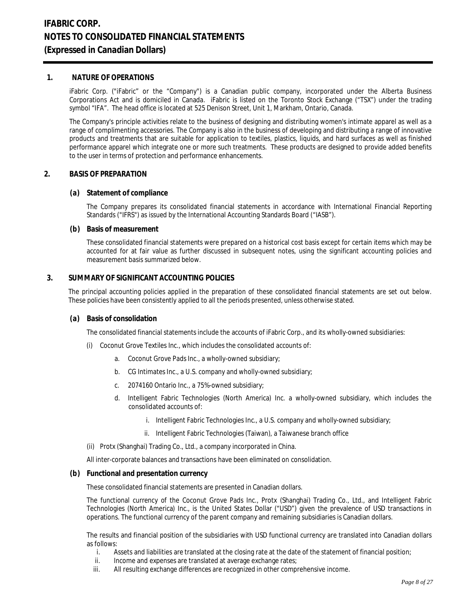#### **1. NATURE OF OPERATIONS**

iFabric Corp. ("iFabric" or the "Company") is a Canadian public company, incorporated under the Alberta Business Corporations Act and is domiciled in Canada. iFabric is listed on the Toronto Stock Exchange ("TSX") under the trading symbol "IFA". The head office is located at 525 Denison Street, Unit 1, Markham, Ontario, Canada.

The Company's principle activities relate to the business of designing and distributing women's intimate apparel as well as a range of complimenting accessories. The Company is also in the business of developing and distributing a range of innovative products and treatments that are suitable for application to textiles, plastics, liquids, and hard surfaces as well as finished performance apparel which integrate one or more such treatments. These products are designed to provide added benefits to the user in terms of protection and performance enhancements.

#### **2. BASIS OF PREPARATION**

#### **(a) Statement of compliance**

The Company prepares its consolidated financial statements in accordance with International Financial Reporting Standards ("IFRS") as issued by the International Accounting Standards Board ("IASB").

#### **(b) Basis of measurement**

These consolidated financial statements were prepared on a historical cost basis except for certain items which may be accounted for at fair value as further discussed in subsequent notes, using the significant accounting policies and measurement basis summarized below.

### **3. SUMMARY OF SIGNIFICANT ACCOUNTING POLICIES**

The principal accounting policies applied in the preparation of these consolidated financial statements are set out below. These policies have been consistently applied to all the periods presented, unless otherwise stated.

#### **(a) Basis of consolidation**

The consolidated financial statements include the accounts of iFabric Corp., and its wholly-owned subsidiaries:

- (i) Coconut Grove Textiles Inc., which includes the consolidated accounts of:
	- a. Coconut Grove Pads Inc., a wholly-owned subsidiary;
	- b. CG Intimates Inc., a U.S. company and wholly-owned subsidiary;
	- c. 2074160 Ontario Inc., a 75%-owned subsidiary;
	- d. Intelligent Fabric Technologies (North America) Inc. a wholly-owned subsidiary, which includes the consolidated accounts of:
		- i. Intelligent Fabric Technologies Inc., a U.S. company and wholly-owned subsidiary;
		- ii. Intelligent Fabric Technologies (Taiwan), a Taiwanese branch office
- (ii) Protx (Shanghai) Trading Co., Ltd., a company incorporated in China.

All inter-corporate balances and transactions have been eliminated on consolidation.

**(b) Functional and presentation currency**

These consolidated financial statements are presented in Canadian dollars.

The functional currency of the Coconut Grove Pads Inc., Protx (Shanghai) Trading Co., Ltd., and Intelligent Fabric Technologies (North America) Inc., is the United States Dollar ("USD") given the prevalence of USD transactions in operations. The functional currency of the parent company and remaining subsidiaries is Canadian dollars.

The results and financial position of the subsidiaries with USD functional currency are translated into Canadian dollars as follows:

- i. Assets and liabilities are translated at the closing rate at the date of the statement of financial position;<br>ii. Income and expenses are translated at average exchange rates:
- Income and expenses are translated at average exchange rates;
- iii. All resulting exchange differences are recognized in other comprehensive income.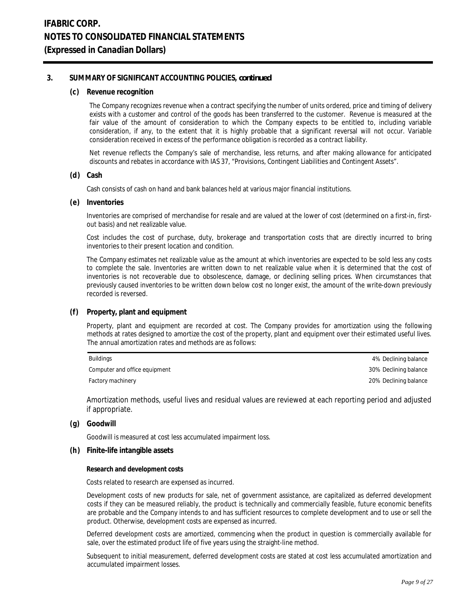**(c) Revenue recognition**

The Company recognizes revenue when a contract specifying the number of units ordered, price and timing of delivery exists with a customer and control of the goods has been transferred to the customer. Revenue is measured at the fair value of the amount of consideration to which the Company expects to be entitled to, including variable consideration, if any, to the extent that it is highly probable that a significant reversal will not occur. Variable consideration received in excess of the performance obligation is recorded as a contract liability.

Net revenue reflects the Company's sale of merchandise, less returns, and after making allowance for anticipated discounts and rebates in accordance with IAS 37, "Provisions, Contingent Liabilities and Contingent Assets".

**(d) Cash**

Cash consists of cash on hand and bank balances held at various major financial institutions.

**(e) Inventories**

Inventories are comprised of merchandise for resale and are valued at the lower of cost (determined on a first-in, firstout basis) and net realizable value.

Cost includes the cost of purchase, duty, brokerage and transportation costs that are directly incurred to bring inventories to their present location and condition.

The Company estimates net realizable value as the amount at which inventories are expected to be sold less any costs to complete the sale. Inventories are written down to net realizable value when it is determined that the cost of inventories is not recoverable due to obsolescence, damage, or declining selling prices. When circumstances that previously caused inventories to be written down below cost no longer exist, the amount of the write-down previously recorded is reversed.

**(f) Property, plant and equipment**

Property, plant and equipment are recorded at cost. The Company provides for amortization using the following methods at rates designed to amortize the cost of the property, plant and equipment over their estimated useful lives. The annual amortization rates and methods are as follows:

| Buildings                     | 4% Declining balance  |
|-------------------------------|-----------------------|
| Computer and office equipment | 30% Declining balance |
| Factory machinery             | 20% Declining balance |

Amortization methods, useful lives and residual values are reviewed at each reporting period and adjusted if appropriate.

**(g) Goodwill**

Goodwill is measured at cost less accumulated impairment loss.

**(h) Finite-life intangible assets**

**Research and development costs**

Costs related to research are expensed as incurred.

Development costs of new products for sale, net of government assistance, are capitalized as deferred development costs if they can be measured reliably, the product is technically and commercially feasible, future economic benefits are probable and the Company intends to and has sufficient resources to complete development and to use or sell the product. Otherwise, development costs are expensed as incurred.

Deferred development costs are amortized, commencing when the product in question is commercially available for sale, over the estimated product life of five years using the straight-line method.

Subsequent to initial measurement, deferred development costs are stated at cost less accumulated amortization and accumulated impairment losses.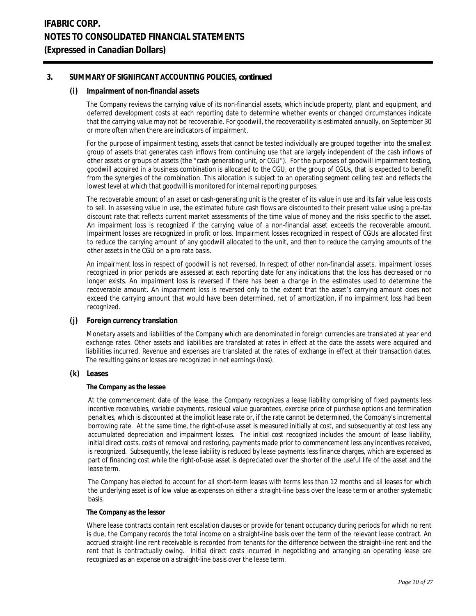#### **(i) Impairment of non-financial assets**

The Company reviews the carrying value of its non-financial assets, which include property, plant and equipment, and deferred development costs at each reporting date to determine whether events or changed circumstances indicate that the carrying value may not be recoverable. For goodwill, the recoverability is estimated annually, on September 30 or more often when there are indicators of impairment.

For the purpose of impairment testing, assets that cannot be tested individually are grouped together into the smallest group of assets that generates cash inflows from continuing use that are largely independent of the cash inflows of other assets or groups of assets (the "cash-generating unit, or CGU"). For the purposes of goodwill impairment testing, goodwill acquired in a business combination is allocated to the CGU, or the group of CGUs, that is expected to benefit from the synergies of the combination. This allocation is subject to an operating segment ceiling test and reflects the lowest level at which that goodwill is monitored for internal reporting purposes.

The recoverable amount of an asset or cash-generating unit is the greater of its value in use and its fair value less costs to sell. In assessing value in use, the estimated future cash flows are discounted to their present value using a pre-tax discount rate that reflects current market assessments of the time value of money and the risks specific to the asset. An impairment loss is recognized if the carrying value of a non-financial asset exceeds the recoverable amount. Impairment losses are recognized in profit or loss. Impairment losses recognized in respect of CGUs are allocated first to reduce the carrying amount of any goodwill allocated to the unit, and then to reduce the carrying amounts of the other assets in the CGU on a pro rata basis.

An impairment loss in respect of goodwill is not reversed. In respect of other non-financial assets, impairment losses recognized in prior periods are assessed at each reporting date for any indications that the loss has decreased or no longer exists. An impairment loss is reversed if there has been a change in the estimates used to determine the recoverable amount. An impairment loss is reversed only to the extent that the asset's carrying amount does not exceed the carrying amount that would have been determined, net of amortization, if no impairment loss had been recognized.

#### **(j) Foreign currency translation**

 Monetary assets and liabilities of the Company which are denominated in foreign currencies are translated at year end exchange rates. Other assets and liabilities are translated at rates in effect at the date the assets were acquired and liabilities incurred. Revenue and expenses are translated at the rates of exchange in effect at their transaction dates. The resulting gains or losses are recognized in net earnings (loss).

**(k) Leases**

#### **The Company as the lessee**

At the commencement date of the lease, the Company recognizes a lease liability comprising of fixed payments less incentive receivables, variable payments, residual value guarantees, exercise price of purchase options and termination penalties, which is discounted at the implicit lease rate or, if the rate cannot be determined, the Company's incremental borrowing rate. At the same time, the right-of-use asset is measured initially at cost, and subsequently at cost less any accumulated depreciation and impairment losses. The initial cost recognized includes the amount of lease liability, initial direct costs, costs of removal and restoring, payments made prior to commencement less any incentives received, is recognized. Subsequently, the lease liability is reduced by lease payments less finance charges, which are expensed as part of financing cost while the right-of-use asset is depreciated over the shorter of the useful life of the asset and the lease term.

The Company has elected to account for all short-term leases with terms less than 12 months and all leases for which the underlying asset is of low value as expenses on either a straight-line basis over the lease term or another systematic basis.

#### **The Company as the lessor**

Where lease contracts contain rent escalation clauses or provide for tenant occupancy during periods for which no rent is due, the Company records the total income on a straight-line basis over the term of the relevant lease contract. An accrued straight-line rent receivable is recorded from tenants for the difference between the straight-line rent and the rent that is contractually owing. Initial direct costs incurred in negotiating and arranging an operating lease are recognized as an expense on a straight-line basis over the lease term.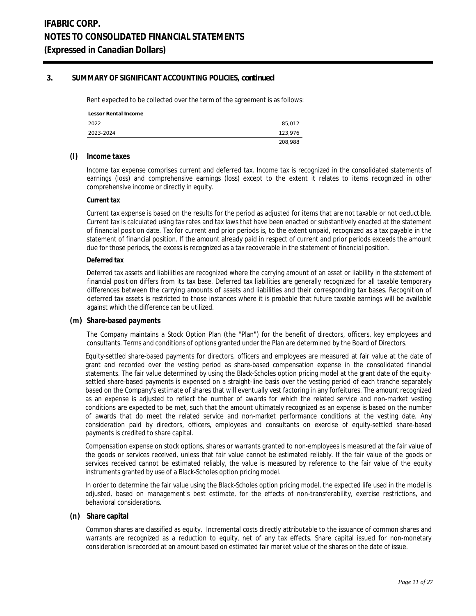Rent expected to be collected over the term of the agreement is as follows:

| Lessor Rental Income |         |
|----------------------|---------|
| 2022                 | 85,012  |
| 2023-2024            | 123.976 |
|                      | 208,988 |

#### **(l) Income taxes**

Income tax expense comprises current and deferred tax. Income tax is recognized in the consolidated statements of earnings (loss) and comprehensive earnings (loss) except to the extent it relates to items recognized in other comprehensive income or directly in equity.

#### **Current tax**

Current tax expense is based on the results for the period as adjusted for items that are not taxable or not deductible. Current tax is calculated using tax rates and tax laws that have been enacted or substantively enacted at the statement of financial position date. Tax for current and prior periods is, to the extent unpaid, recognized as a tax payable in the statement of financial position. If the amount already paid in respect of current and prior periods exceeds the amount due for those periods, the excess is recognized as a tax recoverable in the statement of financial position.

#### **Deferred tax**

Deferred tax assets and liabilities are recognized where the carrying amount of an asset or liability in the statement of financial position differs from its tax base. Deferred tax liabilities are generally recognized for all taxable temporary differences between the carrying amounts of assets and liabilities and their corresponding tax bases. Recognition of deferred tax assets is restricted to those instances where it is probable that future taxable earnings will be available against which the difference can be utilized.

#### **(m) Share-based payments**

The Company maintains a Stock Option Plan (the "Plan") for the benefit of directors, officers, key employees and consultants. Terms and conditions of options granted under the Plan are determined by the Board of Directors.

Equity-settled share-based payments for directors, officers and employees are measured at fair value at the date of grant and recorded over the vesting period as share-based compensation expense in the consolidated financial statements. The fair value determined by using the Black-Scholes option pricing model at the grant date of the equitysettled share-based payments is expensed on a straight-line basis over the vesting period of each tranche separately based on the Company's estimate of shares that will eventually vest factoring in any forfeitures. The amount recognized as an expense is adjusted to reflect the number of awards for which the related service and non-market vesting conditions are expected to be met, such that the amount ultimately recognized as an expense is based on the number of awards that do meet the related service and non-market performance conditions at the vesting date. Any consideration paid by directors, officers, employees and consultants on exercise of equity-settled share-based payments is credited to share capital.

Compensation expense on stock options, shares or warrants granted to non-employees is measured at the fair value of the goods or services received, unless that fair value cannot be estimated reliably. If the fair value of the goods or services received cannot be estimated reliably, the value is measured by reference to the fair value of the equity instruments granted by use of a Black-Scholes option pricing model.

In order to determine the fair value using the Black-Scholes option pricing model, the expected life used in the model is adjusted, based on management's best estimate, for the effects of non-transferability, exercise restrictions, and behavioral considerations.

#### **(n) Share capital**

Common shares are classified as equity. Incremental costs directly attributable to the issuance of common shares and warrants are recognized as a reduction to equity, net of any tax effects. Share capital issued for non-monetary consideration is recorded at an amount based on estimated fair market value of the shares on the date of issue.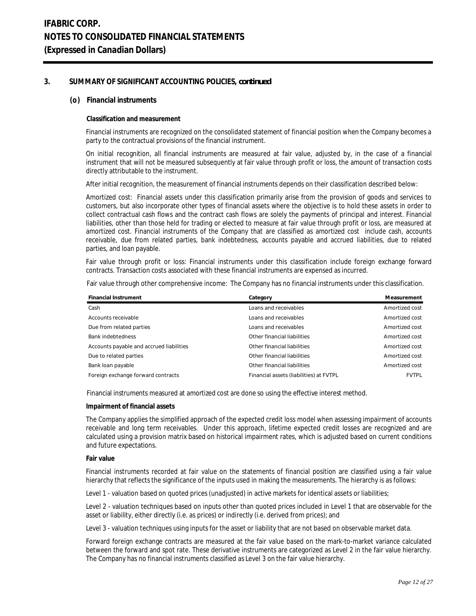#### **(o) Financial instruments**

#### **Classification and measurement**

Financial instruments are recognized on the consolidated statement of financial position when the Company becomes a party to the contractual provisions of the financial instrument.

On initial recognition, all financial instruments are measured at fair value, adjusted by, in the case of a financial instrument that will not be measured subsequently at fair value through profit or loss, the amount of transaction costs directly attributable to the instrument.

After initial recognition, the measurement of financial instruments depends on their classification described below:

Amortized cost: Financial assets under this classification primarily arise from the provision of goods and services to customers, but also incorporate other types of financial assets where the objective is to hold these assets in order to collect contractual cash flows and the contract cash flows are solely the payments of principal and interest. Financial liabilities, other than those held for trading or elected to measure at fair value through profit or loss, are measured at amortized cost. Financial instruments of the Company that are classified as amortized cost include cash, accounts receivable, due from related parties, bank indebtedness, accounts payable and accrued liabilities, due to related parties, and loan payable.

Fair value through profit or loss: Financial instruments under this classification include foreign exchange forward contracts. Transaction costs associated with these financial instruments are expensed as incurred.

Fair value through other comprehensive income: The Company has no financial instruments under this classification.

| Financial Instrument                     | Category                                | Measurement    |
|------------------------------------------|-----------------------------------------|----------------|
| Cash                                     | Loans and receivables                   | Amortized cost |
| Accounts receivable                      | Loans and receivables                   | Amortized cost |
| Due from related parties                 | Loans and receivables                   | Amortized cost |
| <b>Bank indebtedness</b>                 | Other financial liabilities             | Amortized cost |
| Accounts payable and accrued liabilities | Other financial liabilities             | Amortized cost |
| Due to related parties                   | Other financial liabilities             | Amortized cost |
| Bank loan payable                        | Other financial liabilities             | Amortized cost |
| Foreign exchange forward contracts       | Financial assets (liabilities) at FVTPL | <b>FVTPL</b>   |

Financial instruments measured at amortized cost are done so using the effective interest method.

#### **Impairment of financial assets**

The Company applies the simplified approach of the expected credit loss model when assessing impairment of accounts receivable and long term receivables. Under this approach, lifetime expected credit losses are recognized and are calculated using a provision matrix based on historical impairment rates, which is adjusted based on current conditions and future expectations.

#### **Fair value**

Financial instruments recorded at fair value on the statements of financial position are classified using a fair value hierarchy that reflects the significance of the inputs used in making the measurements. The hierarchy is as follows:

Level 1 - valuation based on quoted prices (unadjusted) in active markets for identical assets or liabilities;

Level 2 - valuation techniques based on inputs other than quoted prices included in Level 1 that are observable for the asset or liability, either directly (i.e. as prices) or indirectly (i.e. derived from prices); and

Level 3 - valuation techniques using inputs for the asset or liability that are not based on observable market data.

Forward foreign exchange contracts are measured at the fair value based on the mark-to-market variance calculated between the forward and spot rate. These derivative instruments are categorized as Level 2 in the fair value hierarchy. The Company has no financial instruments classified as Level 3 on the fair value hierarchy.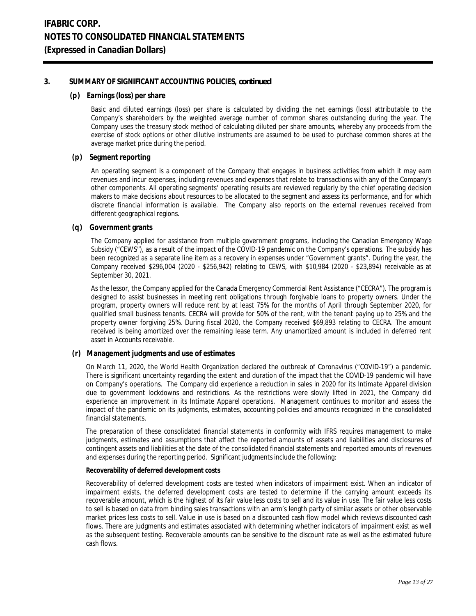### **(p) Earnings (loss) per share**

Basic and diluted earnings (loss) per share is calculated by dividing the net earnings (loss) attributable to the Company's shareholders by the weighted average number of common shares outstanding during the year. The Company uses the treasury stock method of calculating diluted per share amounts, whereby any proceeds from the exercise of stock options or other dilutive instruments are assumed to be used to purchase common shares at the average market price during the period.

### **(p) Segment reporting**

An operating segment is a component of the Company that engages in business activities from which it may earn revenues and incur expenses, including revenues and expenses that relate to transactions with any of the Company's other components. All operating segments' operating results are reviewed regularly by the chief operating decision makers to make decisions about resources to be allocated to the segment and assess its performance, and for which discrete financial information is available. The Company also reports on the external revenues received from different geographical regions.

### **(q) Government grants**

The Company applied for assistance from multiple government programs, including the Canadian Emergency Wage Subsidy ("CEWS"), as a result of the impact of the COVID-19 pandemic on the Company's operations. The subsidy has been recognized as a separate line item as a recovery in expenses under "Government grants". During the year, the Company received \$296,004 (2020 - \$256,942) relating to CEWS, with \$10,984 (2020 - \$23,894) receivable as at September 30, 2021.

As the lessor, the Company applied for the Canada Emergency Commercial Rent Assistance ("CECRA"). The program is designed to assist businesses in meeting rent obligations through forgivable loans to property owners. Under the program, property owners will reduce rent by at least 75% for the months of April through September 2020, for qualified small business tenants. CECRA will provide for 50% of the rent, with the tenant paying up to 25% and the property owner forgiving 25%. During fiscal 2020, the Company received \$69,893 relating to CECRA. The amount received is being amortized over the remaining lease term. Any unamortized amount is included in deferred rent asset in Accounts receivable.

## **(r) Management judgments and use of estimates**

On March 11, 2020, the World Health Organization declared the outbreak of Coronavirus ("COVID-19") a pandemic. There is significant uncertainty regarding the extent and duration of the impact that the COVID-19 pandemic will have on Company's operations. The Company did experience a reduction in sales in 2020 for its Intimate Apparel division due to government lockdowns and restrictions. As the restrictions were slowly lifted in 2021, the Company did experience an improvement in its Intimate Apparel operations. Management continues to monitor and assess the impact of the pandemic on its judgments, estimates, accounting policies and amounts recognized in the consolidated financial statements.

The preparation of these consolidated financial statements in conformity with IFRS requires management to make judgments, estimates and assumptions that affect the reported amounts of assets and liabilities and disclosures of contingent assets and liabilities at the date of the consolidated financial statements and reported amounts of revenues and expenses during the reporting period. Significant judgments include the following:

### **Recoverability of deferred development costs**

Recoverability of deferred development costs are tested when indicators of impairment exist. When an indicator of impairment exists, the deferred development costs are tested to determine if the carrying amount exceeds its recoverable amount, which is the highest of its fair value less costs to sell and its value in use. The fair value less costs to sell is based on data from binding sales transactions with an arm's length party of similar assets or other observable market prices less costs to sell. Value in use is based on a discounted cash flow model which reviews discounted cash flows. There are judgments and estimates associated with determining whether indicators of impairment exist as well as the subsequent testing. Recoverable amounts can be sensitive to the discount rate as well as the estimated future cash flows.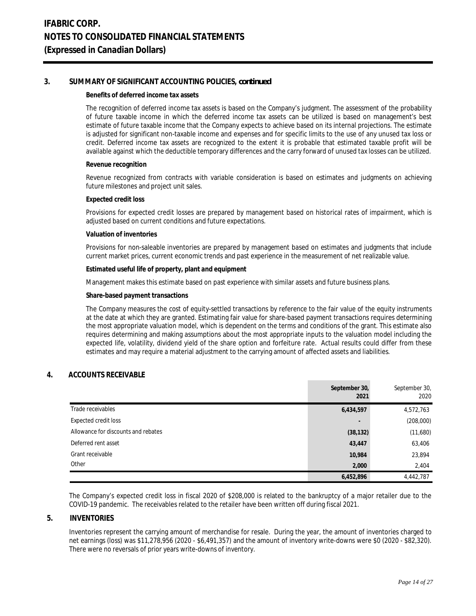#### **Benefits of deferred income tax assets**

The recognition of deferred income tax assets is based on the Company's judgment. The assessment of the probability of future taxable income in which the deferred income tax assets can be utilized is based on management's best estimate of future taxable income that the Company expects to achieve based on its internal projections. The estimate is adjusted for significant non-taxable income and expenses and for specific limits to the use of any unused tax loss or credit. Deferred income tax assets are recognized to the extent it is probable that estimated taxable profit will be available against which the deductible temporary differences and the carry forward of unused tax losses can be utilized.

#### **Revenue recognition**

Revenue recognized from contracts with variable consideration is based on estimates and judgments on achieving future milestones and project unit sales.

#### **Expected credit loss**

Provisions for expected credit losses are prepared by management based on historical rates of impairment, which is adjusted based on current conditions and future expectations.

#### **Valuation of inventories**

Provisions for non-saleable inventories are prepared by management based on estimates and judgments that include current market prices, current economic trends and past experience in the measurement of net realizable value.

**Estimated useful life of property, plant and equipment**

Management makes this estimate based on past experience with similar assets and future business plans.

**Share-based payment transactions**

The Company measures the cost of equity-settled transactions by reference to the fair value of the equity instruments at the date at which they are granted. Estimating fair value for share-based payment transactions requires determining the most appropriate valuation model, which is dependent on the terms and conditions of the grant. This estimate also requires determining and making assumptions about the most appropriate inputs to the valuation model including the expected life, volatility, dividend yield of the share option and forfeiture rate. Actual results could differ from these estimates and may require a material adjustment to the carrying amount of affected assets and liabilities.

### **4. ACCOUNTS RECEIVABLE**

|                                     | September 30,<br>2021 | September 30,<br>2020 |
|-------------------------------------|-----------------------|-----------------------|
| Trade receivables                   | 6,434,597             | 4,572,763             |
| <b>Expected credit loss</b>         |                       | (208,000)             |
| Allowance for discounts and rebates | (38, 132)             | (11,680)              |
| Deferred rent asset                 | 43,447                | 63,406                |
| Grant receivable                    | 10,984                | 23,894                |
| Other                               | 2,000                 | 2,404                 |
|                                     | 6,452,896             | 4,442,787             |

The Company's expected credit loss in fiscal 2020 of \$208,000 is related to the bankruptcy of a major retailer due to the COVID-19 pandemic. The receivables related to the retailer have been written off during fiscal 2021.

#### **5. INVENTORIES**

Inventories represent the carrying amount of merchandise for resale. During the year, the amount of inventories charged to net earnings (loss) was \$11,278,956 (2020 - \$6,491,357) and the amount of inventory write-downs were \$0 (2020 - \$82,320). There were no reversals of prior years write-downs of inventory.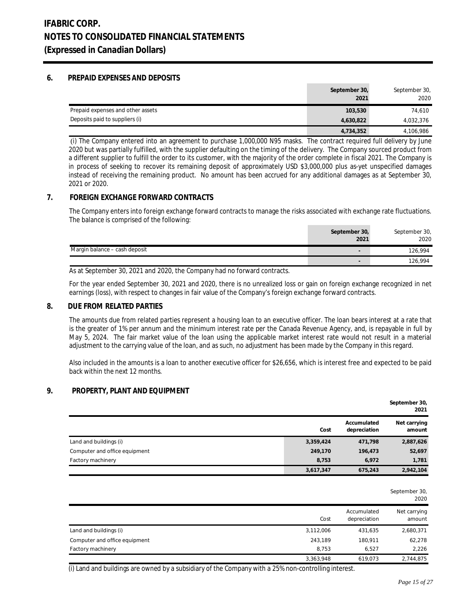## **6. PREPAID EXPENSES AND DEPOSITS**

|                                   | September 30,<br>2021 | September 30,<br>2020 |
|-----------------------------------|-----------------------|-----------------------|
| Prepaid expenses and other assets | 103,530               | 74.610                |
| Deposits paid to suppliers (i)    | 4,630,822             | 4,032,376             |
|                                   | 4,734,352             | 4,106,986             |

 (i) The Company entered into an agreement to purchase 1,000,000 N95 masks. The contract required full delivery by June 2020 but was partially fulfilled, with the supplier defaulting on the timing of the delivery. The Company sourced product from a different supplier to fulfill the order to its customer, with the majority of the order complete in fiscal 2021. The Company is in process of seeking to recover its remaining deposit of approximately USD \$3,000,000 plus as-yet unspecified damages instead of receiving the remaining product. No amount has been accrued for any additional damages as at September 30, 2021 or 2020.

## **7. FOREIGN EXCHANGE FORWARD CONTRACTS**

The Company enters into foreign exchange forward contracts to manage the risks associated with exchange rate fluctuations. The balance is comprised of the following:

| September 30,                                             | September 30, |
|-----------------------------------------------------------|---------------|
| 2021                                                      | 2020          |
| Margin balance – cash deposit<br>$\overline{\phantom{a}}$ | 126,994       |
| $\overline{\phantom{a}}$                                  | 126,994       |

As at September 30, 2021 and 2020, the Company had no forward contracts.

For the year ended September 30, 2021 and 2020, there is no unrealized loss or gain on foreign exchange recognized in net earnings (loss), with respect to changes in fair value of the Company's foreign exchange forward contracts.

#### **8. DUE FROM RELATED PARTIES**

The amounts due from related parties represent a housing loan to an executive officer. The loan bears interest at a rate that is the greater of 1% per annum and the minimum interest rate per the Canada Revenue Agency, and, is repayable in full by May 5, 2024. The fair market value of the loan using the applicable market interest rate would not result in a material adjustment to the carrying value of the loan, and as such, no adjustment has been made by the Company in this regard.

Also included in the amounts is a loan to another executive officer for \$26,656, which is interest free and expected to be paid back within the next 12 months.

## **9. PROPERTY, PLANT AND EQUIPMENT**

|                               |           |                             | September 30,<br>2021  |
|-------------------------------|-----------|-----------------------------|------------------------|
|                               | Cost      | Accumulated<br>depreciation | Net carrying<br>amount |
| Land and buildings (i)        | 3,359,424 | 471,798                     | 2,887,626              |
| Computer and office equipment | 249,170   | 196,473                     | 52,697                 |
| Factory machinery             | 8.753     | 6.972                       | 1,781                  |
|                               | 3,617,347 | 675,243                     | 2,942,104              |

|                               |           |                             | September 30,<br>2020  |
|-------------------------------|-----------|-----------------------------|------------------------|
|                               | Cost      | Accumulated<br>depreciation | Net carrying<br>amount |
| Land and buildings (i)        | 3,112,006 | 431,635                     | 2,680,371              |
| Computer and office equipment | 243,189   | 180,911                     | 62,278                 |
| Factory machinery             | 8,753     | 6,527                       | 2,226                  |
|                               | 3,363,948 | 619,073                     | 2,744,875              |

(i) Land and buildings are owned by a subsidiary of the Company with a 25% non-controlling interest.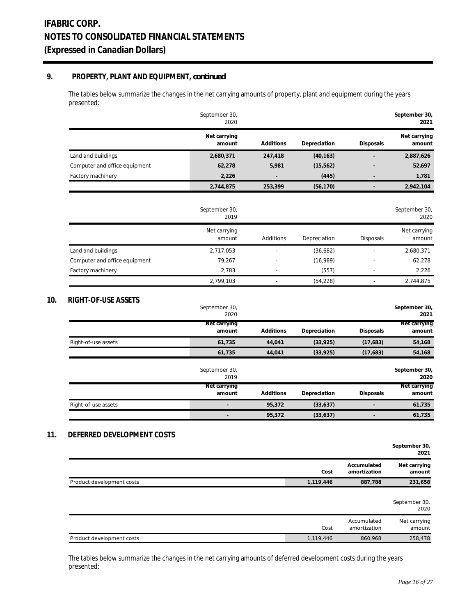## **9. PROPERTY, PLANT AND EQUIPMENT,** *continued*

The tables below summarize the changes in the net carrying amounts of property, plant and equipment during the years presented:

|                               | September 30,<br>2020    |           |              |                             | September 30,<br>2021  |
|-------------------------------|--------------------------|-----------|--------------|-----------------------------|------------------------|
|                               | Net carrying<br>amount   | Additions | Depreciation | Disposals                   | Net carrying<br>amount |
| Land and buildings            | 2,680,371                | 247,418   | (40, 163)    |                             | 2,887,626              |
| Computer and office equipment | 62,278                   | 5,981     | (15, 562)    |                             | 52,697                 |
| Factory machinery             | 2,226                    |           | (445)        |                             | 1,781                  |
|                               | 2,744,875                | 253,399   | (56, 170)    | $\overline{a}$              | 2,942,104              |
|                               | September 30,<br>2019    |           |              |                             | September 30,<br>2020  |
|                               | Net carrying<br>amount   | Additions | Depreciation | Disposals                   | Net carrying<br>amount |
| Land and buildings            | 2,717,053                |           | (36,682)     | L.                          | 2,680,371              |
| Computer and office equipment | 79,267                   |           | (16,989)     |                             | 62,278                 |
| Factory machinery             | 2,783                    |           | (557)        |                             | 2,226                  |
|                               | 2,799,103                |           | (54, 228)    |                             | 2,744,875              |
| RIGHT-OF-USE ASSETS           | September 30,<br>2020    |           |              |                             | September 30,<br>2021  |
|                               | Net carrying<br>amount   | Additions | Depreciation | Disposals                   | Net carrying<br>amount |
| Right-of-use assets           | 61,735                   | 44,041    | (33, 925)    | (17,683)                    | 54,168                 |
|                               | 61,735                   | 44,041    | (33, 925)    | (17,683)                    | 54,168                 |
|                               | September 30,<br>2019    |           |              |                             | September 30,<br>2020  |
|                               | Net carrying<br>amount   | Additions | Depreciation | Disposals                   | Net carrying<br>amount |
| Right-of-use assets           | $\overline{\phantom{a}}$ | 95,372    | (33, 637)    | $\overline{a}$              | 61,735                 |
|                               | $\overline{a}$           | 95,372    | (33, 637)    | $\overline{a}$              | 61,735                 |
| DEFERRED DEVELOPMENT COSTS    |                          |           |              |                             | September 30,<br>2021  |
|                               |                          |           | Cost         | Accumulated<br>amortization | Net carrying<br>amount |
| Product development costs     |                          |           | 1,119,446    | 887,788                     | 231,658                |

|                           |           |                             | September 30,<br>2020  |
|---------------------------|-----------|-----------------------------|------------------------|
|                           | Cost      | Accumulated<br>amortization | Net carrying<br>amount |
| Product development costs | 1,119,446 | 860.968                     | 258,478                |

The tables below summarize the changes in the net carrying amounts of deferred development costs during the years presented: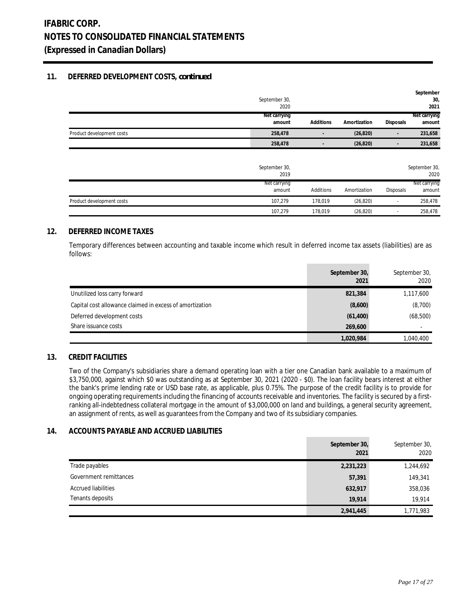## **11. DEFERRED DEVELOPMENT COSTS,** *continued*

|                           | September 30,<br>2020  |                          |              |                  | September<br>30<br>2021 |
|---------------------------|------------------------|--------------------------|--------------|------------------|-------------------------|
|                           | Net carrying<br>amount | Additions                | Amortization | <b>Disposals</b> | Net carrying<br>amount  |
| Product development costs | 258,478                |                          | (26, 820)    | -                | 231,658                 |
|                           | 258,478                | $\overline{\phantom{0}}$ | (26, 820)    | -                | 231,658                 |
|                           |                        |                          |              |                  |                         |

|                           | September 30,<br>2019  |           |              |                          | September 30,<br>2020  |
|---------------------------|------------------------|-----------|--------------|--------------------------|------------------------|
|                           | Net carrying<br>amount | Additions | Amortization | <b>Disposals</b>         | Net carrying<br>amount |
| Product development costs | 107.279                | 178.019   | (26, 820)    | $\overline{\phantom{a}}$ | 258,478                |
|                           | 107.279                | 178,019   | (26, 820)    |                          | 258,478                |

## **12. DEFERRED INCOME TAXES**

Temporary differences between accounting and taxable income which result in deferred income tax assets (liabilities) are as follows:

|                                                          | September 30,<br>2021 | September 30,<br>2020    |
|----------------------------------------------------------|-----------------------|--------------------------|
| Unutilized loss carry forward                            | 821,384               | 1,117,600                |
| Capital cost allowance claimed in excess of amortization | (8,600)               | (8,700)                  |
| Deferred development costs                               | (61, 400)             | (68, 500)                |
| Share issuance costs                                     | 269,600               | $\overline{\phantom{a}}$ |
|                                                          | 1,020,984             | 1,040,400                |

## **13. CREDIT FACILITIES**

Two of the Company's subsidiaries share a demand operating loan with a tier one Canadian bank available to a maximum of \$3,750,000, against which \$0 was outstanding as at September 30, 2021 (2020 - \$0). The loan facility bears interest at either the bank's prime lending rate or USD base rate, as applicable, plus 0.75%. The purpose of the credit facility is to provide for ongoing operating requirements including the financing of accounts receivable and inventories. The facility is secured by a firstranking all-indebtedness collateral mortgage in the amount of \$3,000,000 on land and buildings, a general security agreement, an assignment of rents, as well as guarantees from the Company and two of its subsidiary companies.

### **14. ACCOUNTS PAYABLE AND ACCRUED LIABILITIES**

|                            | September 30,<br>2021 | September 30,<br>2020 |
|----------------------------|-----------------------|-----------------------|
| Trade payables             | 2,231,223             | 1,244,692             |
| Government remittances     | 57,391                | 149,341               |
| <b>Accrued liabilities</b> | 632,917               | 358,036               |
| Tenants deposits           | 19.914                | 19.914                |
|                            | 2,941,445             | 1,771,983             |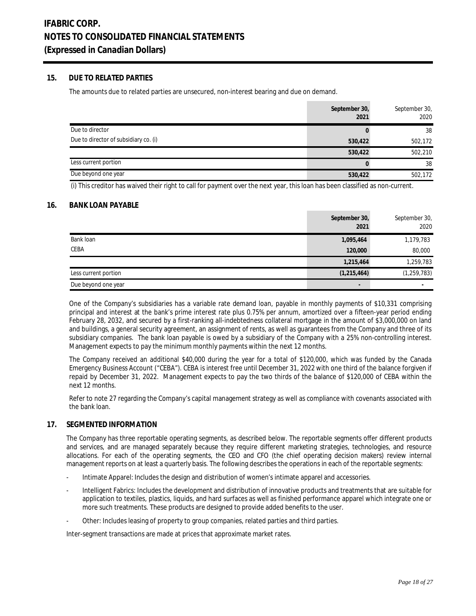## **15. DUE TO RELATED PARTIES**

The amounts due to related parties are unsecured, non-interest bearing and due on demand.

|                                       | September 30,<br>2021 | September 30,<br>2020 |
|---------------------------------------|-----------------------|-----------------------|
| Due to director                       |                       | 38                    |
| Due to director of subsidiary co. (i) | 530,422               | 502,172               |
|                                       | 530,422               | 502,210               |
| Less current portion                  |                       | 38                    |
| Due beyond one year                   | 530,422               | 502,172               |

(i) This creditor has waived their right to call for payment over the next year, this loan has been classified as non-current.

## **16. BANK LOAN PAYABLE**

|                      | September 30,<br>2021    | September 30,<br>2020 |
|----------------------|--------------------------|-----------------------|
| Bank loan            | 1,095,464                | 1,179,783             |
| <b>CEBA</b>          | 120,000                  | 80,000                |
|                      | 1,215,464                | 1,259,783             |
| Less current portion | (1, 215, 464)            | (1, 259, 783)         |
| Due beyond one year  | $\overline{\phantom{a}}$ |                       |

One of the Company's subsidiaries has a variable rate demand loan, payable in monthly payments of \$10,331 comprising principal and interest at the bank's prime interest rate plus 0.75% per annum, amortized over a fifteen-year period ending February 28, 2032, and secured by a first-ranking all-indebtedness collateral mortgage in the amount of \$3,000,000 on land and buildings, a general security agreement, an assignment of rents, as well as guarantees from the Company and three of its subsidiary companies. The bank loan payable is owed by a subsidiary of the Company with a 25% non-controlling interest. Management expects to pay the minimum monthly payments within the next 12 months.

The Company received an additional \$40,000 during the year for a total of \$120,000, which was funded by the Canada Emergency Business Account ("CEBA"). CEBA is interest free until December 31, 2022 with one third of the balance forgiven if repaid by December 31, 2022. Management expects to pay the two thirds of the balance of \$120,000 of CEBA within the next 12 months.

Refer to note 27 regarding the Company's capital management strategy as well as compliance with covenants associated with the bank loan.

### **17. SEGMENTED INFORMATION**

The Company has three reportable operating segments, as described below. The reportable segments offer different products and services, and are managed separately because they require different marketing strategies, technologies, and resource allocations. For each of the operating segments, the CEO and CFO (the chief operating decision makers) review internal management reports on at least a quarterly basis. The following describes the operations in each of the reportable segments:

- Intimate Apparel: Includes the design and distribution of women's intimate apparel and accessories.
- Intelligent Fabrics: Includes the development and distribution of innovative products and treatments that are suitable for application to textiles, plastics, liquids, and hard surfaces as well as finished performance apparel which integrate one or more such treatments. These products are designed to provide added benefits to the user.
- Other: Includes leasing of property to group companies, related parties and third parties.

Inter-segment transactions are made at prices that approximate market rates.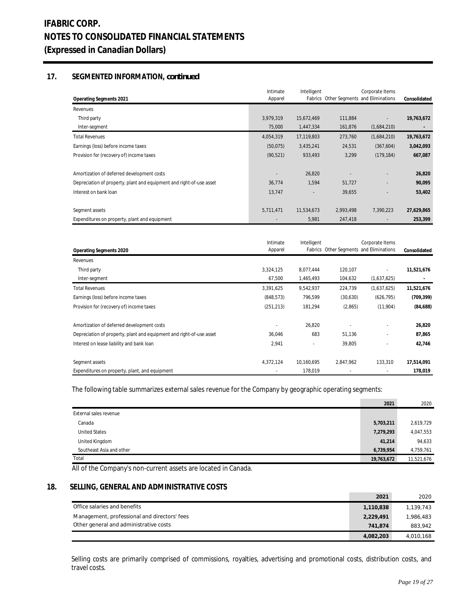## **17. SEGMENTED INFORMATION,** *continued*

| Operating Segments 2021                                              | Intimate<br>Apparel | Intelligent |           | Corporate Items<br>Fabrics Other Segments and Eliminations | Consolidated |
|----------------------------------------------------------------------|---------------------|-------------|-----------|------------------------------------------------------------|--------------|
| Revenues                                                             |                     |             |           |                                                            |              |
| Third party                                                          | 3,979,319           | 15,672,469  | 111,884   |                                                            | 19,763,672   |
| Inter-segment                                                        | 75,000              | 1,447,334   | 161,876   | (1,684,210)                                                |              |
| <b>Total Revenues</b>                                                | 4,054,319           | 17,119,803  | 273,760   | (1,684,210)                                                | 19,763,672   |
| Earnings (loss) before income taxes                                  | (50,075)            | 3,435,241   | 24,531    | (367, 604)                                                 | 3,042,093    |
| Provision for (recovery of) income taxes                             | (90, 521)           | 933,493     | 3,299     | (179, 184)                                                 | 667,087      |
| Amortization of deferred development costs                           |                     | 26,820      |           |                                                            | 26,820       |
| Depreciation of property, plant and equipment and right-of-use asset | 36,774              | 1,594       | 51,727    | ٠                                                          | 90,095       |
| Interest on bank loan                                                | 13,747              |             | 39,655    |                                                            | 53,402       |
| Segment assets                                                       | 5,711,471           | 11,534,673  | 2,993,498 | 7,390,223                                                  | 27,629,865   |
| Expenditures on property, plant and equipment                        |                     | 5,981       | 247,418   |                                                            | 253,399      |

| Operating Segments 2020                                              | Intimate<br>Apparel | Intelligent              |           | Corporate Items<br>Fabrics Other Segments and Eliminations | Consolidated |
|----------------------------------------------------------------------|---------------------|--------------------------|-----------|------------------------------------------------------------|--------------|
| Revenues                                                             |                     |                          |           |                                                            |              |
| Third party                                                          | 3,324,125           | 8,077,444                | 120,107   |                                                            | 11,521,676   |
| Inter-segment                                                        | 67,500              | 1,465,493                | 104,632   | (1,637,625)                                                |              |
| <b>Total Revenues</b>                                                | 3,391,625           | 9,542,937                | 224,739   | (1,637,625)                                                | 11,521,676   |
| Earnings (loss) before income taxes                                  | (848, 573)          | 796,599                  | (30,630)  | (626, 795)                                                 | (709, 399)   |
| Provision for (recovery of) income taxes                             | (251, 213)          | 181,294                  | (2,865)   | (11,904)                                                   | (84, 688)    |
| Amortization of deferred development costs                           |                     | 26,820                   |           |                                                            | 26,820       |
| Depreciation of property, plant and equipment and right-of-use asset | 36,046              | 683                      | 51,136    | ٠                                                          | 87,865       |
| Interest on lease liability and bank loan                            | 2,941               | $\overline{\phantom{a}}$ | 39,805    |                                                            | 42,746       |
| Segment assets                                                       | 4,372,124           | 10,160,695               | 2,847,962 | 133,310                                                    | 17,514,091   |
| Expenditures on property, plant, and equipment                       |                     | 178,019                  |           | $\overline{\phantom{a}}$                                   | 178,019      |

The following table summarizes external sales revenue for the Company by geographic operating segments:

|                          | 2021       | 2020       |
|--------------------------|------------|------------|
| External sales revenue   |            |            |
| Canada                   | 5,703,211  | 2,619,729  |
| <b>United States</b>     | 7,279,293  | 4,047,553  |
| United Kingdom           | 41,214     | 94,633     |
| Southeast Asia and other | 6,739,954  | 4,759,761  |
| Total                    | 19,763,672 | 11,521,676 |

All of the Company's non-current assets are located in Canada.

## **18. SELLING, GENERAL AND ADMINISTRATIVE COSTS**

|                                              | 2021      | 2020      |
|----------------------------------------------|-----------|-----------|
| Office salaries and benefits                 | 1.110.838 | 1,139,743 |
| Management, professional and directors' fees | 2,229,491 | 1,986,483 |
| Other general and administrative costs       | 741.874   | 883,942   |
|                                              | 4,082,203 | 4,010,168 |

Selling costs are primarily comprised of commissions, royalties, advertising and promotional costs, distribution costs, and travel costs.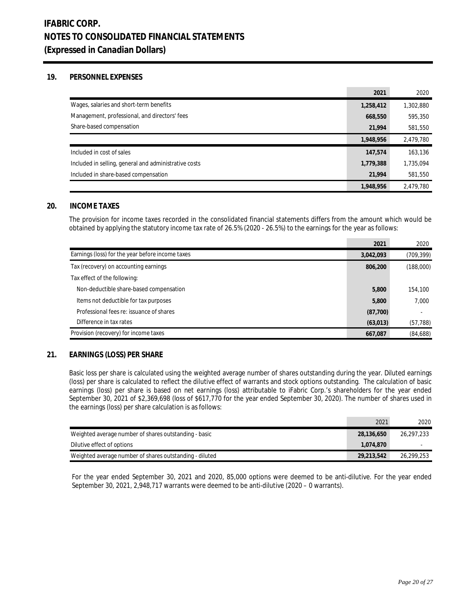## **19. PERSONNEL EXPENSES**

|                                                       | 2021      | 2020      |
|-------------------------------------------------------|-----------|-----------|
| Wages, salaries and short-term benefits               | 1,258,412 | 1,302,880 |
| Management, professional, and directors' fees         | 668,550   | 595,350   |
| Share-based compensation                              | 21.994    | 581,550   |
|                                                       | 1,948,956 | 2,479,780 |
| Included in cost of sales                             | 147,574   | 163,136   |
| Included in selling, general and administrative costs | 1,779,388 | 1,735,094 |
| Included in share-based compensation                  | 21.994    | 581,550   |
|                                                       | 1,948,956 | 2,479,780 |

## **20. INCOME TAXES**

The provision for income taxes recorded in the consolidated financial statements differs from the amount which would be obtained by applying the statutory income tax rate of 26.5% (2020 - 26.5%) to the earnings for the year as follows:

 $\sim$ 

|                                                  | 2021      | 2020       |
|--------------------------------------------------|-----------|------------|
| Earnings (loss) for the year before income taxes | 3,042,093 | (709, 399) |
| Tax (recovery) on accounting earnings            | 806,200   | (188,000)  |
| Tax effect of the following:                     |           |            |
| Non-deductible share-based compensation          | 5,800     | 154,100    |
| Items not deductible for tax purposes            | 5,800     | 7,000      |
| Professional fees re: issuance of shares         | (87,700)  |            |
| Difference in tax rates                          | (63, 013) | (57, 788)  |
| Provision (recovery) for income taxes            | 667,087   | (84, 688)  |

### **21. EARNINGS (LOSS) PER SHARE**

Basic loss per share is calculated using the weighted average number of shares outstanding during the year. Diluted earnings (loss) per share is calculated to reflect the dilutive effect of warrants and stock options outstanding. The calculation of basic earnings (loss) per share is based on net earnings (loss) attributable to iFabric Corp.'s shareholders for the year ended September 30, 2021 of \$2,369,698 (loss of \$617,770 for the year ended September 30, 2020). The number of shares used in the earnings (loss) per share calculation is as follows:

|                                                         | 2021       | 2020       |
|---------------------------------------------------------|------------|------------|
| Weighted average number of shares outstanding - basic   | 28,136,650 | 26.297.233 |
| Dilutive effect of options                              | 1.074.870  |            |
| Weighted average number of shares outstanding - diluted | 29,213,542 | 26.299.253 |

For the year ended September 30, 2021 and 2020, 85,000 options were deemed to be anti-dilutive. For the year ended September 30, 2021, 2,948,717 warrants were deemed to be anti-dilutive (2020 – 0 warrants).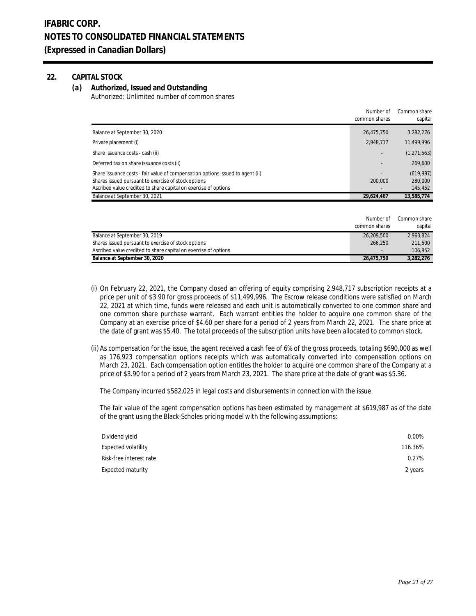## **22. CAPITAL STOCK**

**(a) Authorized, Issued and Outstanding** Authorized: Unlimited number of common shares

|                                                                                | Number of<br>common shares | Common share<br>capital |
|--------------------------------------------------------------------------------|----------------------------|-------------------------|
| Balance at September 30, 2020                                                  | 26.475.750                 | 3.282.276               |
| Private placement (i)                                                          | 2.948.717                  | 11.499.996              |
| Share issuance costs - cash (ii)                                               |                            | (1, 271, 563)           |
| Deferred tax on share issuance costs (ii)                                      |                            | 269,600                 |
| Share issuance costs - fair value of compensation options issued to agent (ii) |                            | (619, 987)              |
| Shares issued pursuant to exercise of stock options                            | 200,000                    | 280,000                 |
| Ascribed value credited to share capital on exercise of options                |                            | 145.452                 |
| Balance at September 30, 2021                                                  | 29.624.467                 | 13.585.774              |

|                                                                 | Number of     | Common share |
|-----------------------------------------------------------------|---------------|--------------|
|                                                                 | common shares | capital      |
| Balance at September 30, 2019                                   | 26.209.500    | 2.963.824    |
| Shares issued pursuant to exercise of stock options             | 266.250       | 211.500      |
| Ascribed value credited to share capital on exercise of options |               | 106.952      |
| Balance at September 30, 2020                                   | 26.475.750    | 3.282.276    |

- (i) On February 22, 2021, the Company closed an offering of equity comprising 2,948,717 subscription receipts at a price per unit of \$3.90 for gross proceeds of \$11,499,996. The Escrow release conditions were satisfied on March 22, 2021 at which time, funds were released and each unit is automatically converted to one common share and one common share purchase warrant. Each warrant entitles the holder to acquire one common share of the Company at an exercise price of \$4.60 per share for a period of 2 years from March 22, 2021. The share price at the date of grant was \$5.40. The total proceeds of the subscription units have been allocated to common stock.
- (ii) As compensation for the issue, the agent received a cash fee of 6% of the gross proceeds, totaling \$690,000 as well as 176,923 compensation options receipts which was automatically converted into compensation options on March 23, 2021. Each compensation option entitles the holder to acquire one common share of the Company at a price of \$3.90 for a period of 2 years from March 23, 2021. The share price at the date of grant was \$5.36.

The Company incurred \$582,025 in legal costs and disbursements in connection with the issue.

The fair value of the agent compensation options has been estimated by management at \$619,987 as of the date of the grant using the Black-Scholes pricing model with the following assumptions:

| Dividend yield          | $0.00\%$ |
|-------------------------|----------|
| Expected volatility     | 116.36%  |
| Risk-free interest rate | 0.27%    |
| Expected maturity       | 2 years  |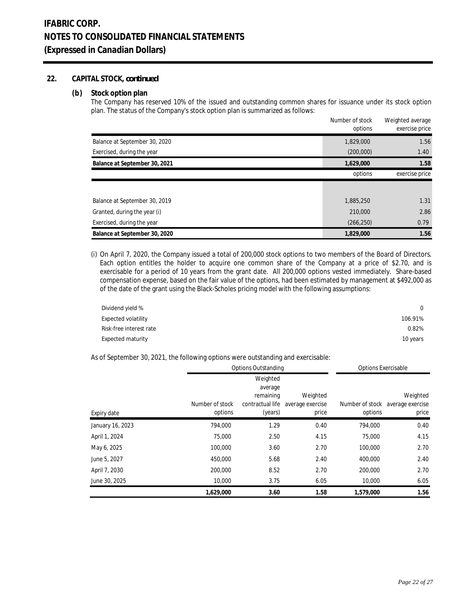## **22. CAPITAL STOCK,** *continued*

#### **(b) Stock option plan**

The Company has reserved 10% of the issued and outstanding common shares for issuance under its stock option plan. The status of the Company's stock option plan is summarized as follows:

|                               | Number of stock<br>options | Weighted average<br>exercise price |
|-------------------------------|----------------------------|------------------------------------|
| Balance at September 30, 2020 | 1,829,000                  | 1.56                               |
| Exercised, during the year    | (200,000)                  | 1.40                               |
| Balance at September 30, 2021 | 1,629,000                  | 1.58                               |
|                               | options                    | exercise price                     |
|                               |                            |                                    |
| Balance at September 30, 2019 | 1,885,250                  | 1.31                               |
| Granted, during the year (i)  | 210,000                    | 2.86                               |
| Exercised, during the year    | (266, 250)                 | 0.79                               |
| Balance at September 30, 2020 | 1,829,000                  | 1.56                               |

(i) On April 7, 2020, the Company issued a total of 200,000 stock options to two members of the Board of Directors. Each option entitles the holder to acquire one common share of the Company at a price of \$2.70, and is exercisable for a period of 10 years from the grant date. All 200,000 options vested immediately. Share-based compensation expense, based on the fair value of the options, had been estimated by management at \$492,000 as of the date of the grant using the Black-Scholes pricing model with the following assumptions:

| Dividend yield %        | $\Omega$ |
|-------------------------|----------|
| Expected volatility     | 106.91%  |
| Risk-free interest rate | 0.82%    |
| Expected maturity       | 10 years |

As of September 30, 2021, the following options were outstanding and exercisable:

|                  | Options Outstanding |                  |                  | <b>Options Exercisable</b> |                  |
|------------------|---------------------|------------------|------------------|----------------------------|------------------|
|                  |                     | Weighted         |                  |                            |                  |
|                  |                     | average          |                  |                            |                  |
|                  |                     | remaining        | Weighted         |                            | Weighted         |
|                  | Number of stock     | contractual life | average exercise | Number of stock            | average exercise |
| Expiry date      | options             | (years)          | price            | options                    | price            |
| January 16, 2023 | 794.000             | 1.29             | 0.40             | 794.000                    | 0.40             |
| April 1, 2024    | 75,000              | 2.50             | 4.15             | 75,000                     | 4.15             |
| May 6, 2025      | 100,000             | 3.60             | 2.70             | 100,000                    | 2.70             |
| June 5, 2027     | 450,000             | 5.68             | 2.40             | 400.000                    | 2.40             |
| April 7, 2030    | 200,000             | 8.52             | 2.70             | 200,000                    | 2.70             |
| June 30, 2025    | 10,000              | 3.75             | 6.05             | 10,000                     | 6.05             |
|                  | 1,629,000           | 3.60             | 1.58             | 1.579.000                  | 1.56             |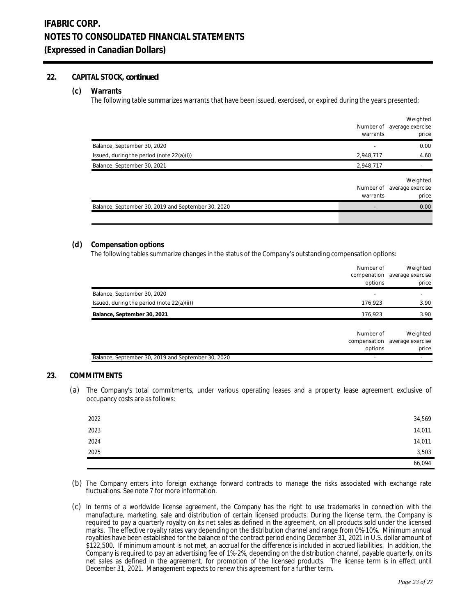## **22. CAPITAL STOCK,** *continued*

#### **(c) Warrants**

The following table summarizes warrants that have been issued, exercised, or expired during the years presented:

|                                                    | Number of<br>warrants | Weighted<br>average exercise<br>price |
|----------------------------------------------------|-----------------------|---------------------------------------|
| Balance, September 30, 2020                        |                       | 0.00                                  |
| Issued, during the period (note $22(a)(i)$ )       | 2,948,717             | 4.60                                  |
| Balance, September 30, 2021                        | 2,948,717             |                                       |
|                                                    | Number of<br>warrants | Weighted<br>average exercise<br>price |
| Balance, September 30, 2019 and September 30, 2020 |                       | 0.00                                  |
|                                                    |                       |                                       |

#### **(d) Compensation options**

The following tables summarize changes in the status of the Company's outstanding compensation options:

|                                                    | Number of<br>options | Weighted<br>compenation average exercise<br>price  |
|----------------------------------------------------|----------------------|----------------------------------------------------|
| Balance, September 30, 2020                        |                      |                                                    |
| Issued, during the period (note 22(a)(ii))         | 176,923              | 3.90                                               |
| Balance, September 30, 2021                        | 176,923              | 3.90                                               |
|                                                    | Number of<br>options | Weighted<br>compensation average exercise<br>price |
| Balance, September 30, 2019 and September 30, 2020 |                      |                                                    |

### **23. COMMITMENTS**

(a) The Company's total commitments, under various operating leases and a property lease agreement exclusive of occupancy costs are as follows:

| 2022 | 34,569 |
|------|--------|
| 2023 | 14,011 |
| 2024 | 14,011 |
| 2025 | 3,503  |
|      | 66,094 |

- (b) The Company enters into foreign exchange forward contracts to manage the risks associated with exchange rate fluctuations. See note 7 for more information.
- (c) In terms of a worldwide license agreement, the Company has the right to use trademarks in connection with the manufacture, marketing, sale and distribution of certain licensed products. During the license term, the Company is required to pay a quarterly royalty on its net sales as defined in the agreement, on all products sold under the licensed marks. The effective royalty rates vary depending on the distribution channel and range from 0%-10%. Minimum annual royalties have been established for the balance of the contract period ending December 31, 2021 in U.S. dollar amount of \$122,500. If minimum amount is not met, an accrual for the difference is included in accrued liabilities. In addition, the Company is required to pay an advertising fee of 1%-2%, depending on the distribution channel, payable quarterly, on its net sales as defined in the agreement, for promotion of the licensed products. The license term is in effect until December 31, 2021. Management expects to renew this agreement for a further term.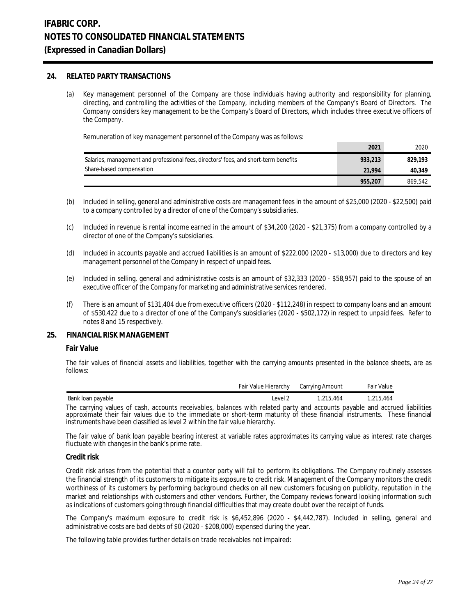#### **24. RELATED PARTY TRANSACTIONS**

(a) Key management personnel of the Company are those individuals having authority and responsibility for planning, directing, and controlling the activities of the Company, including members of the Company's Board of Directors. The Company considers key management to be the Company's Board of Directors, which includes three executive officers of the Company.

Remuneration of key management personnel of the Company was as follows:

|                                                                                      | 2021    | 2020    |
|--------------------------------------------------------------------------------------|---------|---------|
| Salaries, management and professional fees, directors' fees, and short-term benefits | 933,213 | 829.193 |
| Share-based compensation                                                             | 21.994  | 40.349  |
|                                                                                      | 955,207 | 869.542 |

- (b) Included in selling, general and administrative costs are management fees in the amount of \$25,000 (2020 \$22,500) paid to a company controlled by a director of one of the Company's subsidiaries.
- (c) Included in revenue is rental income earned in the amount of \$34,200 (2020 \$21,375) from a company controlled by a director of one of the Company's subsidiaries.
- (d) Included in accounts payable and accrued liabilities is an amount of \$222,000 (2020 \$13,000) due to directors and key management personnel of the Company in respect of unpaid fees.
- (e) Included in selling, general and administrative costs is an amount of \$32,333 (2020 \$58,957) paid to the spouse of an executive officer of the Company for marketing and administrative services rendered.
- (f) There is an amount of \$131,404 due from executive officers (2020 \$112,248) in respect to company loans and an amount of \$530,422 due to a director of one of the Company's subsidiaries (2020 - \$502,172) in respect to unpaid fees. Refer to notes 8 and 15 respectively.

#### **25. FINANCIAL RISK MANAGEMENT**

#### **Fair Value**

The fair values of financial assets and liabilities, together with the carrying amounts presented in the balance sheets, are as follows:

|                                                                                                                             | Fair Value Hierarchy Carrying Amount |           | Fair Value |  |
|-----------------------------------------------------------------------------------------------------------------------------|--------------------------------------|-----------|------------|--|
| Bank loan payable                                                                                                           | Level 2                              | 1.215.464 | 1.215.464  |  |
| The carrying values of cash, accounts receivables, balances with related party and accounts payable and accrued liabilities |                                      |           |            |  |
| approximate their fair values due to the immediate or short-term maturity of these financial instruments. These financial   |                                      |           |            |  |

instruments have been classified as level 2 within the fair value hierarchy.

The fair value of bank loan payable bearing interest at variable rates approximates its carrying value as interest rate charges fluctuate with changes in the bank's prime rate.

#### **Credit risk**

Credit risk arises from the potential that a counter party will fail to perform its obligations. The Company routinely assesses the financial strength of its customers to mitigate its exposure to credit risk. Management of the Company monitors the credit worthiness of its customers by performing background checks on all new customers focusing on publicity, reputation in the market and relationships with customers and other vendors. Further, the Company reviews forward looking information such as indications of customers going through financial difficulties that may create doubt over the receipt of funds.

The Company's maximum exposure to credit risk is \$6,452,896 (2020 - \$4,442,787). Included in selling, general and administrative costs are bad debts of \$0 (2020 - \$208,000) expensed during the year.

The following table provides further details on trade receivables not impaired: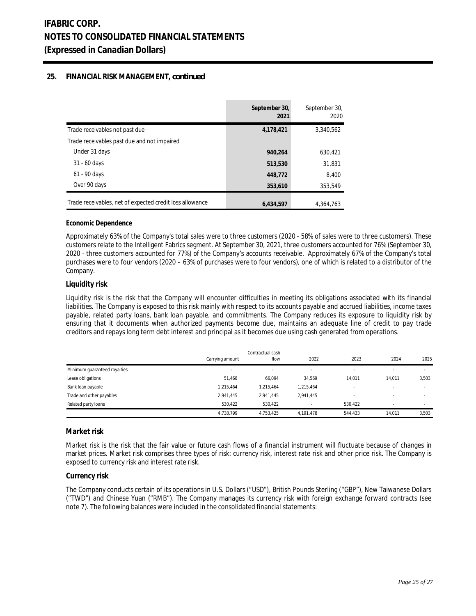## **25. FINANCIAL RISK MANAGEMENT,** *continued*

|                                                          | September 30,<br>2021 | September 30,<br>2020 |
|----------------------------------------------------------|-----------------------|-----------------------|
| Trade receivables not past due                           | 4,178,421             | 3,340,562             |
| Trade receivables past due and not impaired              |                       |                       |
| Under 31 days                                            | 940.264               | 630.421               |
| $31 - 60$ days                                           | 513,530               | 31,831                |
| 61 - 90 days                                             | 448,772               | 8.400                 |
| Over 90 days                                             | 353,610               | 353,549               |
| Trade receivables, net of expected credit loss allowance | 6,434,597             | 4.364.763             |

#### **Economic Dependence**

Approximately 63% of the Company's total sales were to three customers (2020 - 58% of sales were to three customers). These customers relate to the Intelligent Fabrics segment. At September 30, 2021, three customers accounted for 76% (September 30, 2020 - three customers accounted for 77%) of the Company's accounts receivable. Approximately 67% of the Company's total purchases were to four vendors (2020 – 63% of purchases were to four vendors), one of which is related to a distributor of the Company.

### **Liquidity risk**

Liquidity risk is the risk that the Company will encounter difficulties in meeting its obligations associated with its financial liabilities. The Company is exposed to this risk mainly with respect to its accounts payable and accrued liabilities, income taxes payable, related party loans, bank loan payable, and commitments. The Company reduces its exposure to liquidity risk by ensuring that it documents when authorized payments become due, maintains an adequate line of credit to pay trade creditors and repays long term debt interest and principal as it becomes due using cash generated from operations.

|                              | Contractual cash<br>2023<br>2022<br>flow<br>Carrying amount |                          |           |                          | 2024                     | 2025  |
|------------------------------|-------------------------------------------------------------|--------------------------|-----------|--------------------------|--------------------------|-------|
| Minimum guaranteed royalties |                                                             |                          |           |                          |                          |       |
|                              | $\sim$                                                      | $\overline{\phantom{a}}$ | $\sim$    | $\overline{\phantom{a}}$ | $\overline{\phantom{a}}$ |       |
| Lease obligations            | 51.468                                                      | 66.094                   | 34.569    | 14.011                   | 14.011                   | 3,503 |
| Bank loan payable            | 1,215,464                                                   | 1,215,464                | 1,215,464 |                          | $\overline{\phantom{a}}$ |       |
| Trade and other payables     | 2,941,445                                                   | 2,941,445                | 2,941,445 |                          | $\overline{\phantom{a}}$ |       |
| Related party loans          | 530.422                                                     | 530.422                  | $\sim$    | 530.422                  | $\overline{\phantom{a}}$ |       |
|                              | 4,738,799                                                   | 4,753,425                | 4,191,478 | 544,433                  | 14.011                   | 3,503 |

### **Market risk**

Market risk is the risk that the fair value or future cash flows of a financial instrument will fluctuate because of changes in market prices. Market risk comprises three types of risk: currency risk, interest rate risk and other price risk. The Company is exposed to currency risk and interest rate risk.

#### **Currency risk**

The Company conducts certain of its operations in U.S. Dollars ("USD"), British Pounds Sterling ("GBP"), New Taiwanese Dollars ("TWD") and Chinese Yuan ("RMB"). The Company manages its currency risk with foreign exchange forward contracts (see note 7). The following balances were included in the consolidated financial statements: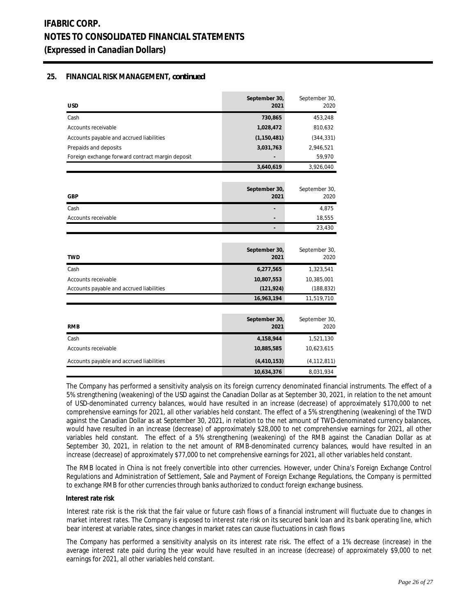## **25. FINANCIAL RISK MANAGEMENT,** *continued*

| <b>USD</b>                                       | September 30,<br>2021 | September 30,<br>2020 |
|--------------------------------------------------|-----------------------|-----------------------|
| Cash                                             | 730,865               | 453,248               |
| Accounts receivable                              | 1,028,472             | 810,632               |
| Accounts payable and accrued liabilities         | (1, 150, 481)         | (344, 331)            |
| Prepaids and deposits                            | 3,031,763             | 2,946,521             |
| Foreign exchange forward contract margin deposit |                       | 59,970                |
|                                                  | 3,640,619             | 3,926,040             |
|                                                  |                       |                       |
| <b>GBP</b>                                       | September 30,<br>2021 | September 30,<br>2020 |
| Cash                                             |                       | 4,875                 |
| Accounts receivable                              |                       | 18,555                |
|                                                  |                       | 23,430                |
|                                                  |                       |                       |
| <b>TWD</b>                                       | September 30,<br>2021 | September 30,<br>2020 |
| Cash                                             | 6,277,565             | 1,323,541             |
| Accounts receivable                              | 10,807,553            | 10,385,001            |
| Accounts payable and accrued liabilities         | (121, 924)            | (188, 832)            |
|                                                  | 16,963,194            | 11,519,710            |
|                                                  |                       |                       |
| <b>RMB</b>                                       | September 30,<br>2021 | September 30,<br>2020 |
| Cash                                             | 4,158,944             | 1,521,130             |
| Accounts receivable                              | 10,885,585            | 10,623,615            |
| Accounts payable and accrued liabilities         | (4, 410, 153)         | (4, 112, 811)         |
|                                                  | 10,634,376            | 8,031,934             |

The Company has performed a sensitivity analysis on its foreign currency denominated financial instruments. The effect of a 5% strengthening (weakening) of the USD against the Canadian Dollar as at September 30, 2021, in relation to the net amount of USD-denominated currency balances, would have resulted in an increase (decrease) of approximately \$170,000 to net comprehensive earnings for 2021, all other variables held constant. The effect of a 5% strengthening (weakening) of the TWD against the Canadian Dollar as at September 30, 2021, in relation to the net amount of TWD-denominated currency balances, would have resulted in an increase (decrease) of approximately \$28,000 to net comprehensive earnings for 2021, all other variables held constant. The effect of a 5% strengthening (weakening) of the RMB against the Canadian Dollar as at September 30, 2021, in relation to the net amount of RMB-denominated currency balances, would have resulted in an increase (decrease) of approximately \$77,000 to net comprehensive earnings for 2021, all other variables held constant.

The RMB located in China is not freely convertible into other currencies. However, under China's Foreign Exchange Control Regulations and Administration of Settlement, Sale and Payment of Foreign Exchange Regulations, the Company is permitted to exchange RMB for other currencies through banks authorized to conduct foreign exchange business.

#### **Interest rate risk**

Interest rate risk is the risk that the fair value or future cash flows of a financial instrument will fluctuate due to changes in market interest rates. The Company is exposed to interest rate risk on its secured bank loan and its bank operating line, which bear interest at variable rates, since changes in market rates can cause fluctuations in cash flows

The Company has performed a sensitivity analysis on its interest rate risk. The effect of a 1% decrease (increase) in the average interest rate paid during the year would have resulted in an increase (decrease) of approximately \$9,000 to net earnings for 2021, all other variables held constant.